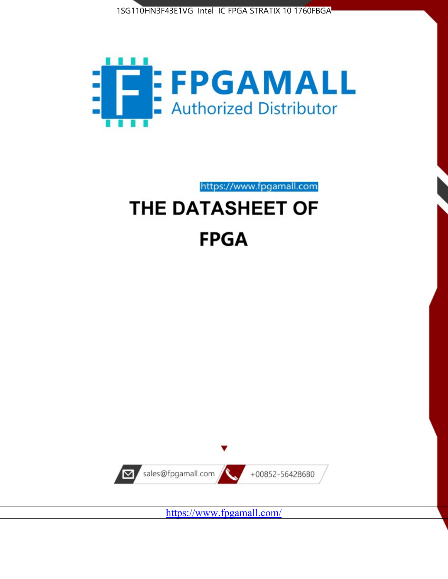



https://www.fpgamall.com

# THE DATASHEET OF **FPGA**



<https://www.fpgamall.com/>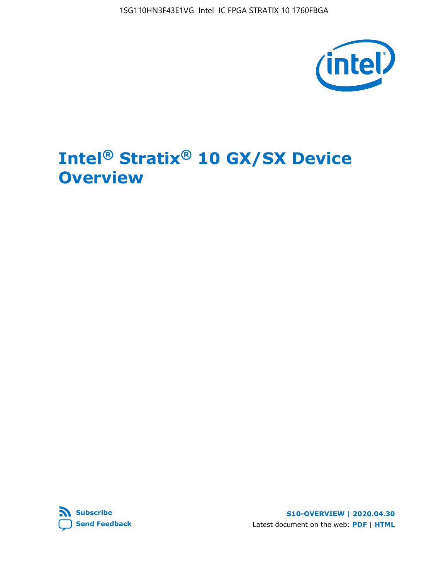1SG110HN3F43E1VG Intel IC FPGA STRATIX 10 1760FBGA



# **Intel® Stratix® 10 GX/SX Device Overview**



**S10-OVERVIEW | 2020.04.30** Latest document on the web: **[PDF](https://www.intel.com/content/dam/www/programmable/us/en/pdfs/literature/hb/stratix-10/s10-overview.pdf)** | **[HTML](https://www.intel.com/content/www/us/en/programmable/documentation/joc1442261161666.html)**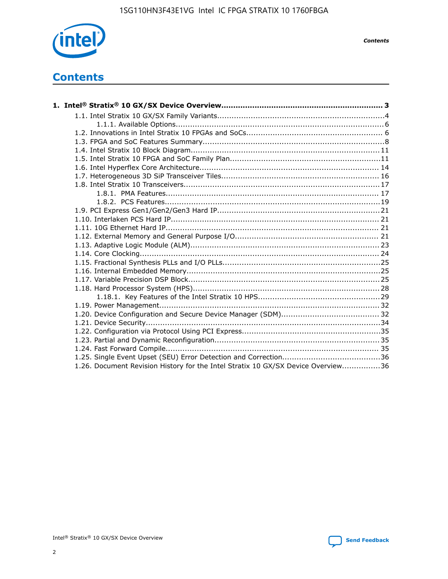

*Contents*

# **Contents**

| 1.26. Document Revision History for the Intel Stratix 10 GX/SX Device Overview36 |  |
|----------------------------------------------------------------------------------|--|

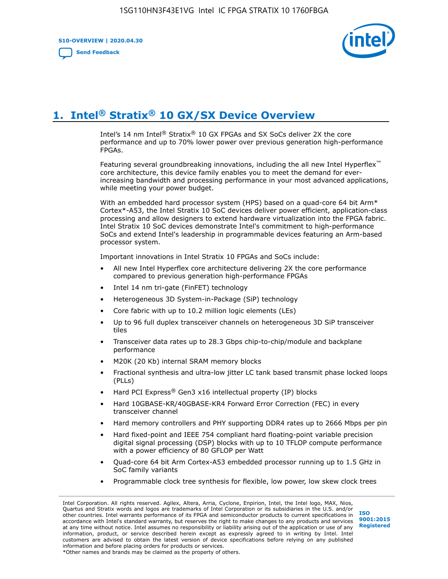**S10-OVERVIEW | 2020.04.30**

**[Send Feedback](mailto:FPGAtechdocfeedback@intel.com?subject=Feedback%20on%20Intel%20Stratix%2010%20GX/SX%20Device%20Overview%20(S10-OVERVIEW%202020.04.30)&body=We%20appreciate%20your%20feedback.%20In%20your%20comments,%20also%20specify%20the%20page%20number%20or%20paragraph.%20Thank%20you.)**



# **1. Intel® Stratix® 10 GX/SX Device Overview**

Intel's 14 nm Intel® Stratix® 10 GX FPGAs and SX SoCs deliver 2X the core performance and up to 70% lower power over previous generation high-performance FPGAs.

Featuring several groundbreaking innovations, including the all new Intel Hyperflex™ core architecture, this device family enables you to meet the demand for everincreasing bandwidth and processing performance in your most advanced applications, while meeting your power budget.

With an embedded hard processor system (HPS) based on a quad-core 64 bit Arm\* Cortex\*-A53, the Intel Stratix 10 SoC devices deliver power efficient, application-class processing and allow designers to extend hardware virtualization into the FPGA fabric. Intel Stratix 10 SoC devices demonstrate Intel's commitment to high-performance SoCs and extend Intel's leadership in programmable devices featuring an Arm-based processor system.

Important innovations in Intel Stratix 10 FPGAs and SoCs include:

- All new Intel Hyperflex core architecture delivering 2X the core performance compared to previous generation high-performance FPGAs
- Intel 14 nm tri-gate (FinFET) technology
- Heterogeneous 3D System-in-Package (SiP) technology
- Core fabric with up to 10.2 million logic elements (LEs)
- Up to 96 full duplex transceiver channels on heterogeneous 3D SiP transceiver tiles
- Transceiver data rates up to 28.3 Gbps chip-to-chip/module and backplane performance
- M20K (20 Kb) internal SRAM memory blocks
- Fractional synthesis and ultra-low jitter LC tank based transmit phase locked loops (PLLs)
- Hard PCI Express<sup>®</sup> Gen3 x16 intellectual property (IP) blocks
- Hard 10GBASE-KR/40GBASE-KR4 Forward Error Correction (FEC) in every transceiver channel
- Hard memory controllers and PHY supporting DDR4 rates up to 2666 Mbps per pin
- Hard fixed-point and IEEE 754 compliant hard floating-point variable precision digital signal processing (DSP) blocks with up to 10 TFLOP compute performance with a power efficiency of 80 GFLOP per Watt
- Quad-core 64 bit Arm Cortex-A53 embedded processor running up to 1.5 GHz in SoC family variants
- Programmable clock tree synthesis for flexible, low power, low skew clock trees

Intel Corporation. All rights reserved. Agilex, Altera, Arria, Cyclone, Enpirion, Intel, the Intel logo, MAX, Nios, Quartus and Stratix words and logos are trademarks of Intel Corporation or its subsidiaries in the U.S. and/or other countries. Intel warrants performance of its FPGA and semiconductor products to current specifications in accordance with Intel's standard warranty, but reserves the right to make changes to any products and services at any time without notice. Intel assumes no responsibility or liability arising out of the application or use of any information, product, or service described herein except as expressly agreed to in writing by Intel. Intel customers are advised to obtain the latest version of device specifications before relying on any published information and before placing orders for products or services. \*Other names and brands may be claimed as the property of others.

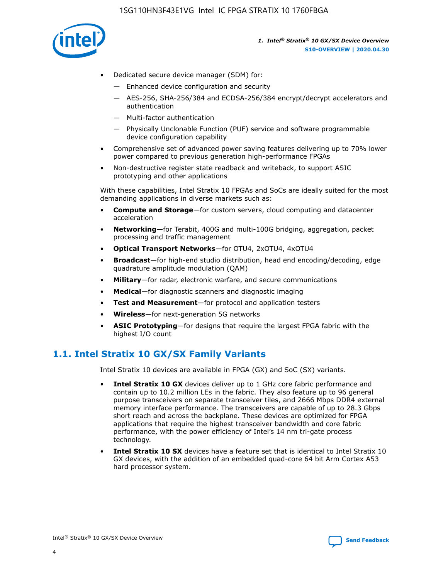

- Dedicated secure device manager (SDM) for:
	- Enhanced device configuration and security
	- AES-256, SHA-256/384 and ECDSA-256/384 encrypt/decrypt accelerators and authentication
	- Multi-factor authentication
	- Physically Unclonable Function (PUF) service and software programmable device configuration capability
- Comprehensive set of advanced power saving features delivering up to 70% lower power compared to previous generation high-performance FPGAs
- Non-destructive register state readback and writeback, to support ASIC prototyping and other applications

With these capabilities, Intel Stratix 10 FPGAs and SoCs are ideally suited for the most demanding applications in diverse markets such as:

- **Compute and Storage**—for custom servers, cloud computing and datacenter acceleration
- **Networking**—for Terabit, 400G and multi-100G bridging, aggregation, packet processing and traffic management
- **Optical Transport Networks**—for OTU4, 2xOTU4, 4xOTU4
- **Broadcast**—for high-end studio distribution, head end encoding/decoding, edge quadrature amplitude modulation (QAM)
- **Military**—for radar, electronic warfare, and secure communications
- **Medical**—for diagnostic scanners and diagnostic imaging
- **Test and Measurement**—for protocol and application testers
- **Wireless**—for next-generation 5G networks
- **ASIC Prototyping**—for designs that require the largest FPGA fabric with the highest I/O count

## **1.1. Intel Stratix 10 GX/SX Family Variants**

Intel Stratix 10 devices are available in FPGA (GX) and SoC (SX) variants.

- **Intel Stratix 10 GX** devices deliver up to 1 GHz core fabric performance and contain up to 10.2 million LEs in the fabric. They also feature up to 96 general purpose transceivers on separate transceiver tiles, and 2666 Mbps DDR4 external memory interface performance. The transceivers are capable of up to 28.3 Gbps short reach and across the backplane. These devices are optimized for FPGA applications that require the highest transceiver bandwidth and core fabric performance, with the power efficiency of Intel's 14 nm tri-gate process technology.
- **Intel Stratix 10 SX** devices have a feature set that is identical to Intel Stratix 10 GX devices, with the addition of an embedded quad-core 64 bit Arm Cortex A53 hard processor system.

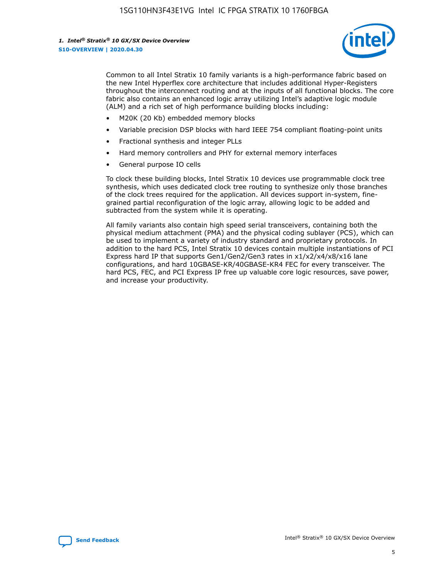

Common to all Intel Stratix 10 family variants is a high-performance fabric based on the new Intel Hyperflex core architecture that includes additional Hyper-Registers throughout the interconnect routing and at the inputs of all functional blocks. The core fabric also contains an enhanced logic array utilizing Intel's adaptive logic module (ALM) and a rich set of high performance building blocks including:

- M20K (20 Kb) embedded memory blocks
- Variable precision DSP blocks with hard IEEE 754 compliant floating-point units
- Fractional synthesis and integer PLLs
- Hard memory controllers and PHY for external memory interfaces
- General purpose IO cells

To clock these building blocks, Intel Stratix 10 devices use programmable clock tree synthesis, which uses dedicated clock tree routing to synthesize only those branches of the clock trees required for the application. All devices support in-system, finegrained partial reconfiguration of the logic array, allowing logic to be added and subtracted from the system while it is operating.

All family variants also contain high speed serial transceivers, containing both the physical medium attachment (PMA) and the physical coding sublayer (PCS), which can be used to implement a variety of industry standard and proprietary protocols. In addition to the hard PCS, Intel Stratix 10 devices contain multiple instantiations of PCI Express hard IP that supports Gen1/Gen2/Gen3 rates in x1/x2/x4/x8/x16 lane configurations, and hard 10GBASE-KR/40GBASE-KR4 FEC for every transceiver. The hard PCS, FEC, and PCI Express IP free up valuable core logic resources, save power, and increase your productivity.

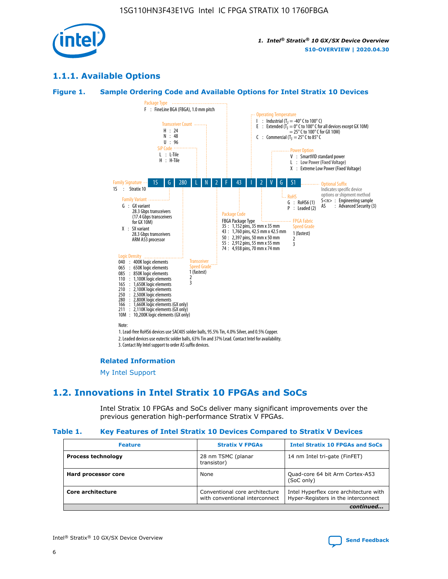

## **1.1.1. Available Options**

#### **Figure 1. Sample Ordering Code and Available Options for Intel Stratix 10 Devices**



### **Related Information**

[My Intel Support](https://www.intel.com/content/www/us/en/programmable/my-intel/mal-home.html)

## **1.2. Innovations in Intel Stratix 10 FPGAs and SoCs**

Intel Stratix 10 FPGAs and SoCs deliver many significant improvements over the previous generation high-performance Stratix V FPGAs.

#### **Table 1. Key Features of Intel Stratix 10 Devices Compared to Stratix V Devices**

| <b>Feature</b>            | <b>Stratix V FPGAs</b>                                           | <b>Intel Stratix 10 FPGAs and SoCs</b>                                        |  |
|---------------------------|------------------------------------------------------------------|-------------------------------------------------------------------------------|--|
| <b>Process technology</b> | 28 nm TSMC (planar<br>transistor)                                | 14 nm Intel tri-gate (FinFET)                                                 |  |
| Hard processor core       | None                                                             | Quad-core 64 bit Arm Cortex-A53<br>(SoC only)                                 |  |
| Core architecture         | Conventional core architecture<br>with conventional interconnect | Intel Hyperflex core architecture with<br>Hyper-Registers in the interconnect |  |
|                           |                                                                  | continued                                                                     |  |

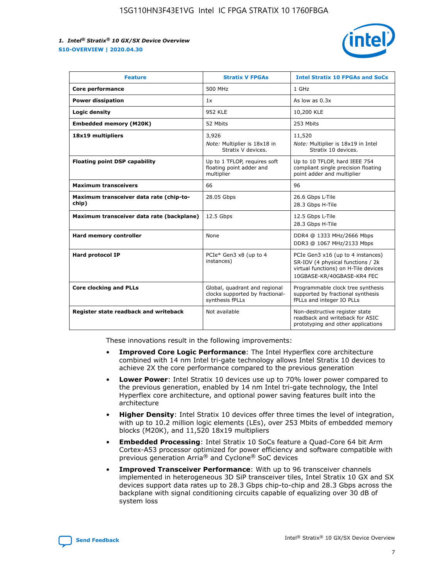

| <b>Feature</b>                                   | <b>Stratix V FPGAs</b>                                                              | <b>Intel Stratix 10 FPGAs and SoCs</b>                                                                                                       |
|--------------------------------------------------|-------------------------------------------------------------------------------------|----------------------------------------------------------------------------------------------------------------------------------------------|
| Core performance                                 | 500 MHz                                                                             | 1 GHz                                                                                                                                        |
| <b>Power dissipation</b>                         | 1x                                                                                  | As low as $0.3x$                                                                                                                             |
| Logic density                                    | <b>952 KLE</b>                                                                      | 10,200 KLE                                                                                                                                   |
| <b>Embedded memory (M20K)</b>                    | 52 Mbits                                                                            | 253 Mbits                                                                                                                                    |
| 18x19 multipliers                                | 3,926                                                                               | 11,520                                                                                                                                       |
|                                                  | Note: Multiplier is 18x18 in<br>Stratix V devices.                                  | Note: Multiplier is 18x19 in Intel<br>Stratix 10 devices.                                                                                    |
| <b>Floating point DSP capability</b>             | Up to 1 TFLOP, requires soft<br>floating point adder and<br>multiplier              | Up to 10 TFLOP, hard IEEE 754<br>compliant single precision floating<br>point adder and multiplier                                           |
| <b>Maximum transceivers</b>                      | 66                                                                                  | 96                                                                                                                                           |
| Maximum transceiver data rate (chip-to-<br>chip) | 28.05 Gbps                                                                          | 26.6 Gbps L-Tile<br>28.3 Gbps H-Tile                                                                                                         |
| Maximum transceiver data rate (backplane)        | 12.5 Gbps                                                                           | 12.5 Gbps L-Tile<br>28.3 Gbps H-Tile                                                                                                         |
| Hard memory controller                           | None                                                                                | DDR4 @ 1333 MHz/2666 Mbps<br>DDR3 @ 1067 MHz/2133 Mbps                                                                                       |
| <b>Hard protocol IP</b>                          | PCIe* Gen3 x8 (up to 4<br>instances)                                                | PCIe Gen3 x16 (up to 4 instances)<br>SR-IOV (4 physical functions / 2k<br>virtual functions) on H-Tile devices<br>10GBASE-KR/40GBASE-KR4 FEC |
| <b>Core clocking and PLLs</b>                    | Global, quadrant and regional<br>clocks supported by fractional-<br>synthesis fPLLs | Programmable clock tree synthesis<br>supported by fractional synthesis<br>fPLLs and integer IO PLLs                                          |
| Register state readback and writeback            | Not available                                                                       | Non-destructive register state<br>readback and writeback for ASIC<br>prototyping and other applications                                      |

These innovations result in the following improvements:

- **Improved Core Logic Performance**: The Intel Hyperflex core architecture combined with 14 nm Intel tri-gate technology allows Intel Stratix 10 devices to achieve 2X the core performance compared to the previous generation
- **Lower Power**: Intel Stratix 10 devices use up to 70% lower power compared to the previous generation, enabled by 14 nm Intel tri-gate technology, the Intel Hyperflex core architecture, and optional power saving features built into the architecture
- **Higher Density**: Intel Stratix 10 devices offer three times the level of integration, with up to 10.2 million logic elements (LEs), over 253 Mbits of embedded memory blocks (M20K), and 11,520 18x19 multipliers
- **Embedded Processing**: Intel Stratix 10 SoCs feature a Quad-Core 64 bit Arm Cortex-A53 processor optimized for power efficiency and software compatible with previous generation Arria® and Cyclone® SoC devices
- **Improved Transceiver Performance**: With up to 96 transceiver channels implemented in heterogeneous 3D SiP transceiver tiles, Intel Stratix 10 GX and SX devices support data rates up to 28.3 Gbps chip-to-chip and 28.3 Gbps across the backplane with signal conditioning circuits capable of equalizing over 30 dB of system loss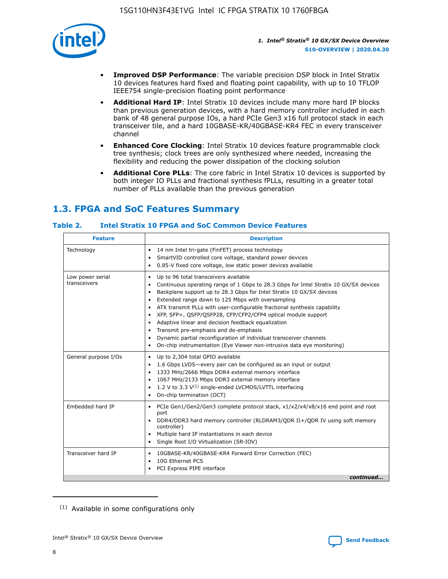

- **Improved DSP Performance**: The variable precision DSP block in Intel Stratix 10 devices features hard fixed and floating point capability, with up to 10 TFLOP IEEE754 single-precision floating point performance
- **Additional Hard IP**: Intel Stratix 10 devices include many more hard IP blocks than previous generation devices, with a hard memory controller included in each bank of 48 general purpose IOs, a hard PCIe Gen3 x16 full protocol stack in each transceiver tile, and a hard 10GBASE-KR/40GBASE-KR4 FEC in every transceiver channel
- **Enhanced Core Clocking**: Intel Stratix 10 devices feature programmable clock tree synthesis; clock trees are only synthesized where needed, increasing the flexibility and reducing the power dissipation of the clocking solution
- **Additional Core PLLs**: The core fabric in Intel Stratix 10 devices is supported by both integer IO PLLs and fractional synthesis fPLLs, resulting in a greater total number of PLLs available than the previous generation

## **1.3. FPGA and SoC Features Summary**

## **Table 2. Intel Stratix 10 FPGA and SoC Common Device Features**

| <b>Feature</b>                   | <b>Description</b>                                                                                                                                                                                                                                                                                                                                                                                                                                                                                                                                                                                                                                                                                  |
|----------------------------------|-----------------------------------------------------------------------------------------------------------------------------------------------------------------------------------------------------------------------------------------------------------------------------------------------------------------------------------------------------------------------------------------------------------------------------------------------------------------------------------------------------------------------------------------------------------------------------------------------------------------------------------------------------------------------------------------------------|
| Technology                       | 14 nm Intel tri-gate (FinFET) process technology<br>$\bullet$<br>SmartVID controlled core voltage, standard power devices<br>0.85-V fixed core voltage, low static power devices available<br>٠                                                                                                                                                                                                                                                                                                                                                                                                                                                                                                     |
| Low power serial<br>transceivers | Up to 96 total transceivers available<br>٠<br>Continuous operating range of 1 Gbps to 28.3 Gbps for Intel Stratix 10 GX/SX devices<br>Backplane support up to 28.3 Gbps for Intel Stratix 10 GX/SX devices<br>$\bullet$<br>Extended range down to 125 Mbps with oversampling<br>ATX transmit PLLs with user-configurable fractional synthesis capability<br>$\bullet$<br>XFP, SFP+, QSFP/QSFP28, CFP/CFP2/CFP4 optical module support<br>$\bullet$<br>• Adaptive linear and decision feedback equalization<br>Transmit pre-emphasis and de-emphasis<br>Dynamic partial reconfiguration of individual transceiver channels<br>On-chip instrumentation (Eye Viewer non-intrusive data eye monitoring) |
| General purpose I/Os             | Up to 2,304 total GPIO available<br>$\bullet$<br>1.6 Gbps LVDS-every pair can be configured as an input or output<br>1333 MHz/2666 Mbps DDR4 external memory interface<br>1067 MHz/2133 Mbps DDR3 external memory interface<br>• 1.2 V to 3.3 $V^{(1)}$ single-ended LVCMOS/LVTTL interfacing<br>• On-chip termination (OCT)                                                                                                                                                                                                                                                                                                                                                                        |
| Embedded hard IP                 | PCIe Gen1/Gen2/Gen3 complete protocol stack, x1/x2/x4/x8/x16 end point and root<br>$\bullet$<br>port<br>DDR4/DDR3 hard memory controller (RLDRAM3/QDR II+/QDR IV using soft memory<br>controller)<br>Multiple hard IP instantiations in each device<br>• Single Root I/O Virtualization (SR-IOV)                                                                                                                                                                                                                                                                                                                                                                                                    |
| Transceiver hard IP              | 10GBASE-KR/40GBASE-KR4 Forward Error Correction (FEC)<br>$\bullet$<br>10G Ethernet PCS<br>٠<br>PCI Express PIPE interface<br>continued                                                                                                                                                                                                                                                                                                                                                                                                                                                                                                                                                              |
|                                  |                                                                                                                                                                                                                                                                                                                                                                                                                                                                                                                                                                                                                                                                                                     |

<sup>(1)</sup> Available in some configurations only

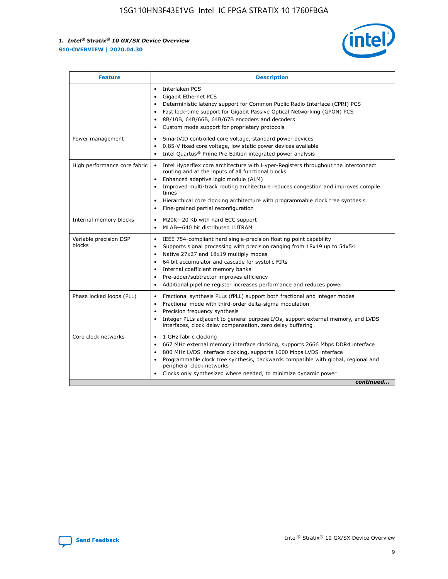

| <b>Feature</b>                   | <b>Description</b>                                                                                                                                                                                                                                                                                                                                                                                                                                            |
|----------------------------------|---------------------------------------------------------------------------------------------------------------------------------------------------------------------------------------------------------------------------------------------------------------------------------------------------------------------------------------------------------------------------------------------------------------------------------------------------------------|
|                                  | Interlaken PCS<br>$\bullet$<br>Gigabit Ethernet PCS<br>$\bullet$<br>Deterministic latency support for Common Public Radio Interface (CPRI) PCS<br>$\bullet$<br>Fast lock-time support for Gigabit Passive Optical Networking (GPON) PCS<br>٠<br>8B/10B, 64B/66B, 64B/67B encoders and decoders<br>Custom mode support for proprietary protocols<br>۰                                                                                                          |
| Power management                 | SmartVID controlled core voltage, standard power devices<br>$\bullet$<br>0.85-V fixed core voltage, low static power devices available<br>$\bullet$<br>Intel Quartus <sup>®</sup> Prime Pro Edition integrated power analysis<br>٠                                                                                                                                                                                                                            |
| High performance core fabric     | Intel Hyperflex core architecture with Hyper-Registers throughout the interconnect<br>routing and at the inputs of all functional blocks<br>Enhanced adaptive logic module (ALM)<br>Improved multi-track routing architecture reduces congestion and improves compile<br>times<br>Hierarchical core clocking architecture with programmable clock tree synthesis<br>$\bullet$<br>Fine-grained partial reconfiguration                                         |
| Internal memory blocks           | M20K-20 Kb with hard ECC support<br>٠<br>MLAB-640 bit distributed LUTRAM<br>$\bullet$                                                                                                                                                                                                                                                                                                                                                                         |
| Variable precision DSP<br>blocks | IEEE 754-compliant hard single-precision floating point capability<br>$\bullet$<br>Supports signal processing with precision ranging from 18x19 up to 54x54<br>$\bullet$<br>Native 27x27 and 18x19 multiply modes<br>٠<br>64 bit accumulator and cascade for systolic FIRs<br>Internal coefficient memory banks<br>Pre-adder/subtractor improves efficiency<br>$\bullet$<br>Additional pipeline register increases performance and reduces power<br>$\bullet$ |
| Phase locked loops (PLL)         | Fractional synthesis PLLs (fPLL) support both fractional and integer modes<br>$\bullet$<br>Fractional mode with third-order delta-sigma modulation<br>Precision frequency synthesis<br>$\bullet$<br>Integer PLLs adjacent to general purpose I/Os, support external memory, and LVDS<br>$\bullet$<br>interfaces, clock delay compensation, zero delay buffering                                                                                               |
| Core clock networks              | 1 GHz fabric clocking<br>٠<br>667 MHz external memory interface clocking, supports 2666 Mbps DDR4 interface<br>$\bullet$<br>800 MHz LVDS interface clocking, supports 1600 Mbps LVDS interface<br>$\bullet$<br>Programmable clock tree synthesis, backwards compatible with global, regional and<br>$\bullet$<br>peripheral clock networks<br>Clocks only synthesized where needed, to minimize dynamic power<br>continued                                    |

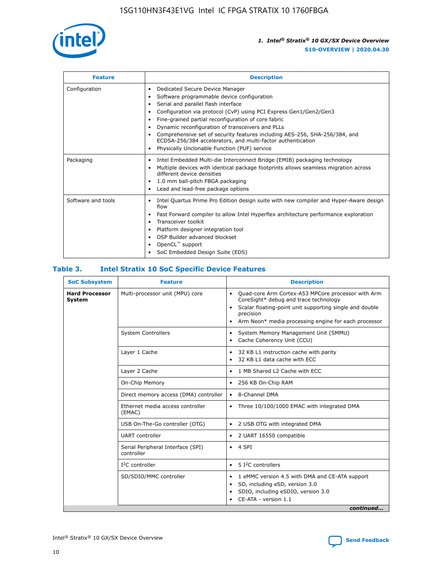

| <b>Feature</b>     | <b>Description</b>                                                                                                                                                                                                                                                                                                                                                                                                                                                                                                                                                   |
|--------------------|----------------------------------------------------------------------------------------------------------------------------------------------------------------------------------------------------------------------------------------------------------------------------------------------------------------------------------------------------------------------------------------------------------------------------------------------------------------------------------------------------------------------------------------------------------------------|
| Configuration      | Dedicated Secure Device Manager<br>$\bullet$<br>Software programmable device configuration<br>٠<br>Serial and parallel flash interface<br>٠<br>Configuration via protocol (CvP) using PCI Express Gen1/Gen2/Gen3<br>٠<br>Fine-grained partial reconfiguration of core fabric<br>$\bullet$<br>Dynamic reconfiguration of transceivers and PLLs<br>$\bullet$<br>Comprehensive set of security features including AES-256, SHA-256/384, and<br>ECDSA-256/384 accelerators, and multi-factor authentication<br>Physically Unclonable Function (PUF) service<br>$\bullet$ |
| Packaging          | Intel Embedded Multi-die Interconnect Bridge (EMIB) packaging technology<br>٠<br>Multiple devices with identical package footprints allows seamless migration across<br>$\bullet$<br>different device densities<br>1.0 mm ball-pitch FBGA packaging<br>$\bullet$<br>Lead and lead-free package options                                                                                                                                                                                                                                                               |
| Software and tools | Intel Quartus Prime Pro Edition design suite with new compiler and Hyper-Aware design<br>flow<br>Fast Forward compiler to allow Intel Hyperflex architecture performance exploration<br>$\bullet$<br>Transceiver toolkit<br>$\bullet$<br>Platform designer integration tool<br>DSP Builder advanced blockset<br>OpenCL <sup>™</sup> support<br>SoC Embedded Design Suite (EDS)                                                                                                                                                                                       |

## **Table 3. Intel Stratix 10 SoC Specific Device Features**

| <b>Hard Processor</b><br>Multi-processor unit (MPU) core<br>Quad-core Arm Cortex-A53 MPCore processor with Arm<br>$\bullet$<br>CoreSight* debug and trace technology<br>System<br>Scalar floating-point unit supporting single and double<br>$\bullet$<br>precision<br>Arm Neon* media processing engine for each processor<br>$\bullet$<br><b>System Controllers</b><br>System Memory Management Unit (SMMU)<br>$\bullet$<br>Cache Coherency Unit (CCU)<br>$\bullet$<br>Layer 1 Cache<br>32 KB L1 instruction cache with parity<br>$\bullet$<br>32 KB L1 data cache with ECC<br>$\bullet$<br>Layer 2 Cache<br>1 MB Shared L2 Cache with ECC<br>$\bullet$<br>On-Chip Memory<br>256 KB On-Chip RAM<br>٠<br>Direct memory access (DMA) controller<br>8-Channel DMA<br>$\bullet$<br>Ethernet media access controller<br>Three 10/100/1000 EMAC with integrated DMA<br>$\bullet$<br>(EMAC)<br>USB On-The-Go controller (OTG)<br>2 USB OTG with integrated DMA<br>$\bullet$<br><b>UART</b> controller<br>2 UART 16550 compatible<br>$\bullet$<br>Serial Peripheral Interface (SPI)<br>4 SPI<br>$\bullet$<br>controller<br>$I2C$ controller<br>5 I <sup>2</sup> C controllers<br>$\bullet$<br>SD/SDIO/MMC controller<br>1 eMMC version 4.5 with DMA and CE-ATA support<br>$\bullet$<br>SD, including eSD, version 3.0<br>$\bullet$<br>SDIO, including eSDIO, version 3.0<br>$\bullet$<br>CE-ATA - version 1.1 | <b>SoC Subsystem</b> | <b>Feature</b> | <b>Description</b> |  |  |
|---------------------------------------------------------------------------------------------------------------------------------------------------------------------------------------------------------------------------------------------------------------------------------------------------------------------------------------------------------------------------------------------------------------------------------------------------------------------------------------------------------------------------------------------------------------------------------------------------------------------------------------------------------------------------------------------------------------------------------------------------------------------------------------------------------------------------------------------------------------------------------------------------------------------------------------------------------------------------------------------------------------------------------------------------------------------------------------------------------------------------------------------------------------------------------------------------------------------------------------------------------------------------------------------------------------------------------------------------------------------------------------------------------|----------------------|----------------|--------------------|--|--|
|                                                                                                                                                                                                                                                                                                                                                                                                                                                                                                                                                                                                                                                                                                                                                                                                                                                                                                                                                                                                                                                                                                                                                                                                                                                                                                                                                                                                         |                      |                |                    |  |  |
|                                                                                                                                                                                                                                                                                                                                                                                                                                                                                                                                                                                                                                                                                                                                                                                                                                                                                                                                                                                                                                                                                                                                                                                                                                                                                                                                                                                                         |                      |                |                    |  |  |
|                                                                                                                                                                                                                                                                                                                                                                                                                                                                                                                                                                                                                                                                                                                                                                                                                                                                                                                                                                                                                                                                                                                                                                                                                                                                                                                                                                                                         |                      |                |                    |  |  |
|                                                                                                                                                                                                                                                                                                                                                                                                                                                                                                                                                                                                                                                                                                                                                                                                                                                                                                                                                                                                                                                                                                                                                                                                                                                                                                                                                                                                         |                      |                |                    |  |  |
|                                                                                                                                                                                                                                                                                                                                                                                                                                                                                                                                                                                                                                                                                                                                                                                                                                                                                                                                                                                                                                                                                                                                                                                                                                                                                                                                                                                                         |                      |                |                    |  |  |
|                                                                                                                                                                                                                                                                                                                                                                                                                                                                                                                                                                                                                                                                                                                                                                                                                                                                                                                                                                                                                                                                                                                                                                                                                                                                                                                                                                                                         |                      |                |                    |  |  |
|                                                                                                                                                                                                                                                                                                                                                                                                                                                                                                                                                                                                                                                                                                                                                                                                                                                                                                                                                                                                                                                                                                                                                                                                                                                                                                                                                                                                         |                      |                |                    |  |  |
|                                                                                                                                                                                                                                                                                                                                                                                                                                                                                                                                                                                                                                                                                                                                                                                                                                                                                                                                                                                                                                                                                                                                                                                                                                                                                                                                                                                                         |                      |                |                    |  |  |
|                                                                                                                                                                                                                                                                                                                                                                                                                                                                                                                                                                                                                                                                                                                                                                                                                                                                                                                                                                                                                                                                                                                                                                                                                                                                                                                                                                                                         |                      |                |                    |  |  |
|                                                                                                                                                                                                                                                                                                                                                                                                                                                                                                                                                                                                                                                                                                                                                                                                                                                                                                                                                                                                                                                                                                                                                                                                                                                                                                                                                                                                         |                      |                |                    |  |  |
|                                                                                                                                                                                                                                                                                                                                                                                                                                                                                                                                                                                                                                                                                                                                                                                                                                                                                                                                                                                                                                                                                                                                                                                                                                                                                                                                                                                                         |                      |                |                    |  |  |
| continued                                                                                                                                                                                                                                                                                                                                                                                                                                                                                                                                                                                                                                                                                                                                                                                                                                                                                                                                                                                                                                                                                                                                                                                                                                                                                                                                                                                               |                      |                |                    |  |  |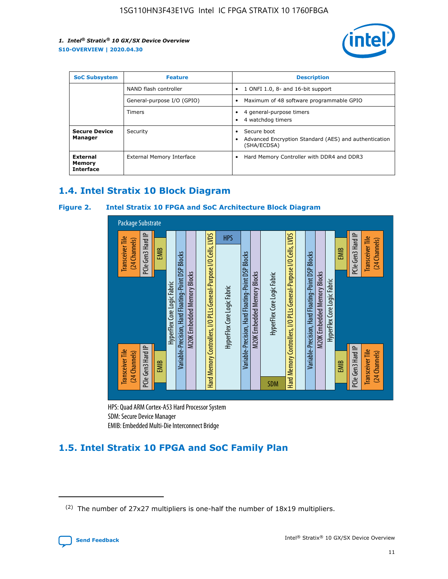

| <b>SoC Subsystem</b>                   | <b>Feature</b>             | <b>Description</b>                                                                                    |  |  |
|----------------------------------------|----------------------------|-------------------------------------------------------------------------------------------------------|--|--|
|                                        | NAND flash controller      | 1 ONFI 1.0, 8- and 16-bit support<br>$\bullet$                                                        |  |  |
|                                        | General-purpose I/O (GPIO) | Maximum of 48 software programmable GPIO<br>$\bullet$                                                 |  |  |
|                                        | Timers                     | 4 general-purpose timers<br>4 watchdog timers<br>٠                                                    |  |  |
| <b>Secure Device</b><br>Manager        | Security                   | Secure boot<br>$\bullet$<br>Advanced Encryption Standard (AES) and authentication<br>٠<br>(SHA/ECDSA) |  |  |
| External<br>Memory<br><b>Interface</b> | External Memory Interface  | Hard Memory Controller with DDR4 and DDR3<br>$\bullet$                                                |  |  |

## **1.4. Intel Stratix 10 Block Diagram**

## **Figure 2. Intel Stratix 10 FPGA and SoC Architecture Block Diagram**



HPS: Quad ARM Cortex-A53 Hard Processor System SDM: Secure Device Manager

## **1.5. Intel Stratix 10 FPGA and SoC Family Plan**

<sup>(2)</sup> The number of 27x27 multipliers is one-half the number of 18x19 multipliers.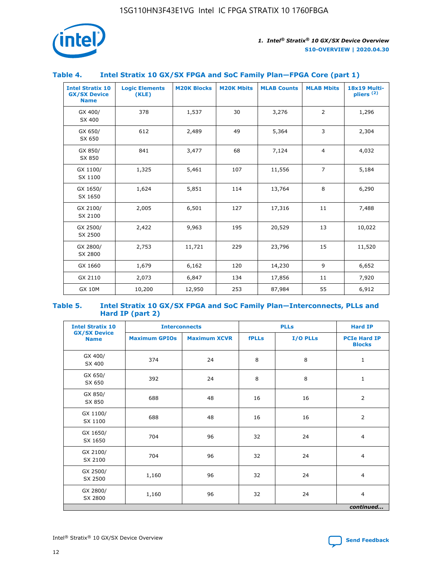

## **Table 4. Intel Stratix 10 GX/SX FPGA and SoC Family Plan—FPGA Core (part 1)**

| <b>Intel Stratix 10</b><br><b>GX/SX Device</b><br><b>Name</b> | <b>Logic Elements</b><br>(KLE) | <b>M20K Blocks</b> | <b>M20K Mbits</b> | <b>MLAB Counts</b> | <b>MLAB Mbits</b> | <b>18x19 Multi-</b><br>pliers <sup>(2)</sup> |
|---------------------------------------------------------------|--------------------------------|--------------------|-------------------|--------------------|-------------------|----------------------------------------------|
| GX 400/<br>SX 400                                             | 378                            | 1,537              | 30                | 3,276              | 2                 | 1,296                                        |
| GX 650/<br>SX 650                                             | 612                            | 2,489              | 49                | 5,364              | 3                 | 2,304                                        |
| GX 850/<br>SX 850                                             | 841                            | 3,477              | 68                | 7,124              | $\overline{4}$    | 4,032                                        |
| GX 1100/<br>SX 1100                                           | 1,325                          | 5,461              | 107               | 11,556             | $\overline{7}$    | 5,184                                        |
| GX 1650/<br>SX 1650                                           | 1,624                          | 5,851              | 114               | 13,764             | 8                 | 6,290                                        |
| GX 2100/<br>SX 2100                                           | 2,005                          | 6,501              | 127               | 17,316             | 11                | 7,488                                        |
| GX 2500/<br>SX 2500                                           | 2,422                          | 9,963              | 195               | 20,529             | 13                | 10,022                                       |
| GX 2800/<br>SX 2800                                           | 2,753                          | 11,721             | 229               | 23,796             | 15                | 11,520                                       |
| GX 1660                                                       | 1,679                          | 6,162              | 120               | 14,230             | 9                 | 6,652                                        |
| GX 2110                                                       | 2,073                          | 6,847              | 134               | 17,856             | 11                | 7,920                                        |
| <b>GX 10M</b>                                                 | 10,200                         | 12,950             | 253               | 87,984             | 55                | 6,912                                        |

#### **Table 5. Intel Stratix 10 GX/SX FPGA and SoC Family Plan—Interconnects, PLLs and Hard IP (part 2)**

| <b>Intel Stratix 10</b>            | <b>Interconnects</b> |                     | <b>PLLs</b>  |          | <b>Hard IP</b>                       |  |
|------------------------------------|----------------------|---------------------|--------------|----------|--------------------------------------|--|
| <b>GX/SX Device</b><br><b>Name</b> | <b>Maximum GPIOs</b> | <b>Maximum XCVR</b> | <b>fPLLs</b> | I/O PLLs | <b>PCIe Hard IP</b><br><b>Blocks</b> |  |
| GX 400/<br>SX 400                  | 374                  | 24                  | 8            | 8        | $\mathbf{1}$                         |  |
| GX 650/<br>SX 650                  | 392                  | 24                  | 8            | 8        | $\mathbf{1}$                         |  |
| GX 850/<br>SX 850                  | 688                  | 48                  | 16           | 16       | 2                                    |  |
| GX 1100/<br>SX 1100                | 688                  | 48                  | 16           | 16       | 2                                    |  |
| GX 1650/<br>SX 1650                | 704                  | 96                  | 32           | 24       | $\overline{4}$                       |  |
| GX 2100/<br>SX 2100                | 704                  | 96                  | 32           | 24       | $\overline{4}$                       |  |
| GX 2500/<br>SX 2500                | 1,160                | 96                  | 32           | 24       | $\overline{4}$                       |  |
| GX 2800/<br>SX 2800                | 1,160                | 96                  | 32           | 24       | $\overline{4}$                       |  |
| continued                          |                      |                     |              |          |                                      |  |

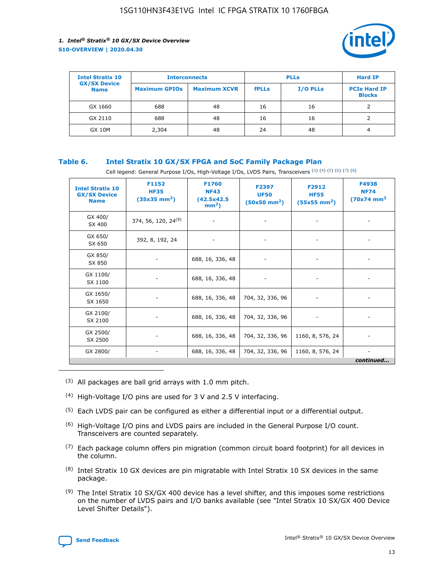

| <b>Intel Stratix 10</b>            | <b>Interconnects</b> |                     |              | <b>PLLs</b>     | <b>Hard IP</b>                       |
|------------------------------------|----------------------|---------------------|--------------|-----------------|--------------------------------------|
| <b>GX/SX Device</b><br><b>Name</b> | <b>Maximum GPIOs</b> | <b>Maximum XCVR</b> | <b>fPLLs</b> | <b>I/O PLLs</b> | <b>PCIe Hard IP</b><br><b>Blocks</b> |
| GX 1660                            | 688                  | 48                  | 16           | 16              |                                      |
| GX 2110                            | 688                  | 48                  | 16           | 16              |                                      |
| <b>GX 10M</b>                      | 2,304                | 48                  | 24           | 48              | 4                                    |

## **Table 6. Intel Stratix 10 GX/SX FPGA and SoC Family Package Plan**

Cell legend: General Purpose I/Os, High-Voltage I/Os, LVDS Pairs, Transceivers (3) (4) (5) (6) (7) (8)

| <b>Intel Stratix 10</b><br><b>GX/SX Device</b><br><b>Name</b> | F1152<br><b>HF35</b><br>$(35x35)$ mm <sup>2</sup> ) | <b>F1760</b><br><b>NF43</b><br>(42.5x42.5<br>$mm2$ ) | F2397<br><b>UF50</b><br>$(50x50 \text{ mm}^2)$ | F2912<br><b>HF55</b><br>$(55x55 \text{ mm}^2)$ | F4938<br><b>NF74</b><br>$(70x74)$ mm <sup>2</sup> |
|---------------------------------------------------------------|-----------------------------------------------------|------------------------------------------------------|------------------------------------------------|------------------------------------------------|---------------------------------------------------|
| GX 400/<br>SX 400                                             | 374, 56, 120, 24 <sup>(9)</sup>                     | $\overline{\phantom{a}}$                             | $\overline{\phantom{a}}$                       |                                                |                                                   |
| GX 650/<br>SX 650                                             | 392, 8, 192, 24                                     | ٠                                                    | $\qquad \qquad \blacksquare$                   |                                                |                                                   |
| GX 850/<br>SX 850                                             | $\overline{\phantom{a}}$                            | 688, 16, 336, 48                                     | $\overline{\phantom{a}}$                       |                                                |                                                   |
| GX 1100/<br>SX 1100                                           | -                                                   | 688, 16, 336, 48                                     |                                                |                                                |                                                   |
| GX 1650/<br>SX 1650                                           |                                                     | 688, 16, 336, 48                                     | 704, 32, 336, 96                               | $\overline{\phantom{a}}$                       | $\overline{\phantom{0}}$                          |
| GX 2100/<br>SX 2100                                           |                                                     | 688, 16, 336, 48                                     | 704, 32, 336, 96                               | $\overline{\phantom{a}}$                       | ٠                                                 |
| GX 2500/<br>SX 2500                                           |                                                     | 688, 16, 336, 48                                     | 704, 32, 336, 96                               | 1160, 8, 576, 24                               |                                                   |
| GX 2800/                                                      | -                                                   | 688, 16, 336, 48                                     | 704, 32, 336, 96                               | 1160, 8, 576, 24                               | continued                                         |

- (3) All packages are ball grid arrays with 1.0 mm pitch.
- (4) High-Voltage I/O pins are used for 3 V and 2.5 V interfacing.
- $(5)$  Each LVDS pair can be configured as either a differential input or a differential output.
- $(6)$  High-Voltage I/O pins and LVDS pairs are included in the General Purpose I/O count. Transceivers are counted separately.
- $(7)$  Each package column offers pin migration (common circuit board footprint) for all devices in the column.
- $(8)$  Intel Stratix 10 GX devices are pin migratable with Intel Stratix 10 SX devices in the same package.
- $(9)$  The Intel Stratix 10 SX/GX 400 device has a level shifter, and this imposes some restrictions on the number of LVDS pairs and I/O banks available (see "Intel Stratix 10 SX/GX 400 Device Level Shifter Details").

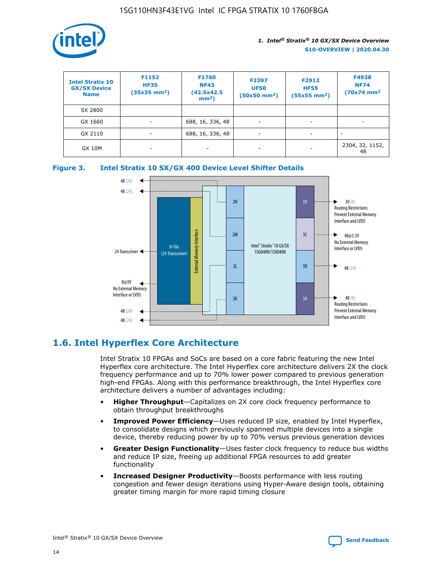

| <b>Intel Stratix 10</b><br><b>GX/SX Device</b><br><b>Name</b> | F1152<br><b>HF35</b><br>$(35x35 \text{ mm}^2)$ | F1760<br><b>NF43</b><br>(42.5x42.5<br>$mm2$ ) | F2397<br><b>UF50</b><br>$(50x50 \text{ mm}^2)$ | F2912<br><b>HF55</b><br>$(55x55$ mm <sup>2</sup> ) | F4938<br><b>NF74</b><br>$(70x74)$ mm <sup>2</sup> |
|---------------------------------------------------------------|------------------------------------------------|-----------------------------------------------|------------------------------------------------|----------------------------------------------------|---------------------------------------------------|
| SX 2800                                                       |                                                |                                               |                                                |                                                    |                                                   |
| GX 1660                                                       | ٠                                              | 688, 16, 336, 48                              | ٠                                              |                                                    |                                                   |
| GX 2110                                                       |                                                | 688, 16, 336, 48                              | $\overline{\phantom{a}}$                       |                                                    |                                                   |
| <b>GX 10M</b>                                                 | ۰                                              | -                                             | -                                              |                                                    | 2304, 32, 1152,<br>48                             |





## **1.6. Intel Hyperflex Core Architecture**

Intel Stratix 10 FPGAs and SoCs are based on a core fabric featuring the new Intel Hyperflex core architecture. The Intel Hyperflex core architecture delivers 2X the clock frequency performance and up to 70% lower power compared to previous generation high-end FPGAs. Along with this performance breakthrough, the Intel Hyperflex core architecture delivers a number of advantages including:

- **Higher Throughput**—Capitalizes on 2X core clock frequency performance to obtain throughput breakthroughs
- **Improved Power Efficiency**—Uses reduced IP size, enabled by Intel Hyperflex, to consolidate designs which previously spanned multiple devices into a single device, thereby reducing power by up to 70% versus previous generation devices
- **Greater Design Functionality**—Uses faster clock frequency to reduce bus widths and reduce IP size, freeing up additional FPGA resources to add greater functionality
- **Increased Designer Productivity**—Boosts performance with less routing congestion and fewer design iterations using Hyper-Aware design tools, obtaining greater timing margin for more rapid timing closure

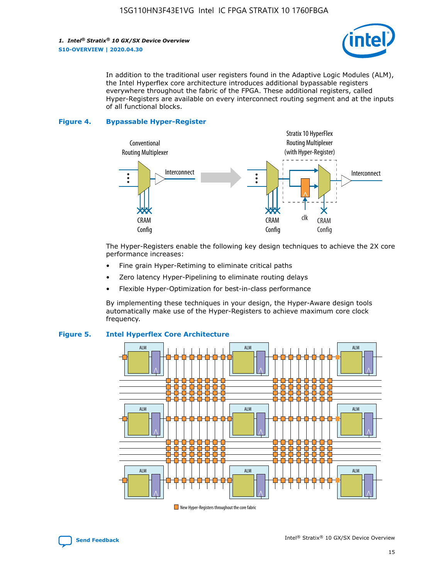

In addition to the traditional user registers found in the Adaptive Logic Modules (ALM), the Intel Hyperflex core architecture introduces additional bypassable registers everywhere throughout the fabric of the FPGA. These additional registers, called Hyper-Registers are available on every interconnect routing segment and at the inputs of all functional blocks.

#### **Figure 4. Bypassable Hyper-Register**



The Hyper-Registers enable the following key design techniques to achieve the 2X core performance increases:

- Fine grain Hyper-Retiming to eliminate critical paths
- Zero latency Hyper-Pipelining to eliminate routing delays
- Flexible Hyper-Optimization for best-in-class performance

By implementing these techniques in your design, the Hyper-Aware design tools automatically make use of the Hyper-Registers to achieve maximum core clock frequency.



## **Figure 5. Intel Hyperflex Core Architecture**

New Hyper-Registers throughout the core fabric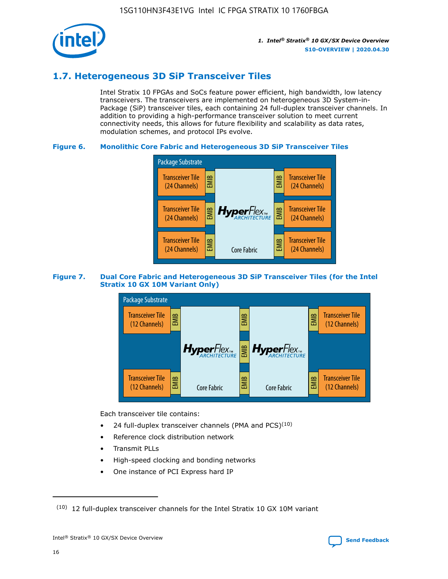

## **1.7. Heterogeneous 3D SiP Transceiver Tiles**

Intel Stratix 10 FPGAs and SoCs feature power efficient, high bandwidth, low latency transceivers. The transceivers are implemented on heterogeneous 3D System-in-Package (SiP) transceiver tiles, each containing 24 full-duplex transceiver channels. In addition to providing a high-performance transceiver solution to meet current connectivity needs, this allows for future flexibility and scalability as data rates, modulation schemes, and protocol IPs evolve.

## **Figure 6. Monolithic Core Fabric and Heterogeneous 3D SiP Transceiver Tiles**



## **Figure 7. Dual Core Fabric and Heterogeneous 3D SiP Transceiver Tiles (for the Intel Stratix 10 GX 10M Variant Only)**



Each transceiver tile contains:

- 24 full-duplex transceiver channels (PMA and PCS) $(10)$
- Reference clock distribution network
- Transmit PLLs
- High-speed clocking and bonding networks
- One instance of PCI Express hard IP

16



 $(10)$  12 full-duplex transceiver channels for the Intel Stratix 10 GX 10M variant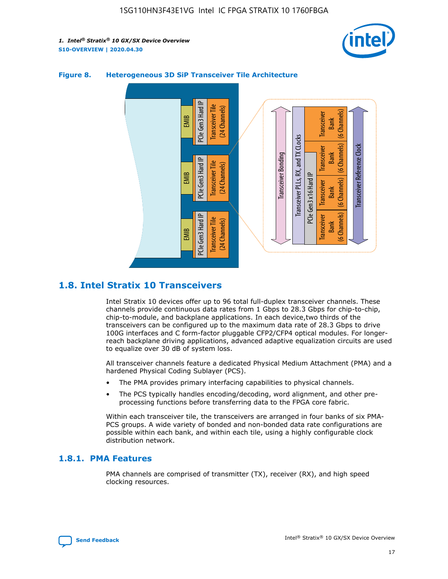



## **Figure 8. Heterogeneous 3D SiP Transceiver Tile Architecture**

## **1.8. Intel Stratix 10 Transceivers**

Intel Stratix 10 devices offer up to 96 total full-duplex transceiver channels. These channels provide continuous data rates from 1 Gbps to 28.3 Gbps for chip-to-chip, chip-to-module, and backplane applications. In each device,two thirds of the transceivers can be configured up to the maximum data rate of 28.3 Gbps to drive 100G interfaces and C form-factor pluggable CFP2/CFP4 optical modules. For longerreach backplane driving applications, advanced adaptive equalization circuits are used to equalize over 30 dB of system loss.

All transceiver channels feature a dedicated Physical Medium Attachment (PMA) and a hardened Physical Coding Sublayer (PCS).

- The PMA provides primary interfacing capabilities to physical channels.
- The PCS typically handles encoding/decoding, word alignment, and other preprocessing functions before transferring data to the FPGA core fabric.

Within each transceiver tile, the transceivers are arranged in four banks of six PMA-PCS groups. A wide variety of bonded and non-bonded data rate configurations are possible within each bank, and within each tile, using a highly configurable clock distribution network.

## **1.8.1. PMA Features**

PMA channels are comprised of transmitter (TX), receiver (RX), and high speed clocking resources.

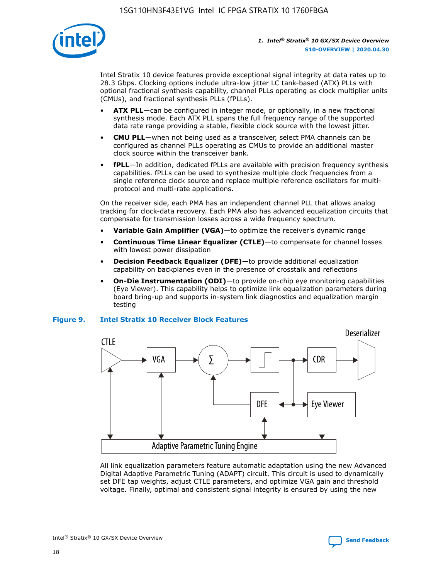

Intel Stratix 10 device features provide exceptional signal integrity at data rates up to 28.3 Gbps. Clocking options include ultra-low jitter LC tank-based (ATX) PLLs with optional fractional synthesis capability, channel PLLs operating as clock multiplier units (CMUs), and fractional synthesis PLLs (fPLLs).

- **ATX PLL**—can be configured in integer mode, or optionally, in a new fractional synthesis mode. Each ATX PLL spans the full frequency range of the supported data rate range providing a stable, flexible clock source with the lowest jitter.
- **CMU PLL**—when not being used as a transceiver, select PMA channels can be configured as channel PLLs operating as CMUs to provide an additional master clock source within the transceiver bank.
- **fPLL**—In addition, dedicated fPLLs are available with precision frequency synthesis capabilities. fPLLs can be used to synthesize multiple clock frequencies from a single reference clock source and replace multiple reference oscillators for multiprotocol and multi-rate applications.

On the receiver side, each PMA has an independent channel PLL that allows analog tracking for clock-data recovery. Each PMA also has advanced equalization circuits that compensate for transmission losses across a wide frequency spectrum.

- **Variable Gain Amplifier (VGA)**—to optimize the receiver's dynamic range
- **Continuous Time Linear Equalizer (CTLE)**—to compensate for channel losses with lowest power dissipation
- **Decision Feedback Equalizer (DFE)**—to provide additional equalization capability on backplanes even in the presence of crosstalk and reflections
- **On-Die Instrumentation (ODI)**—to provide on-chip eye monitoring capabilities (Eye Viewer). This capability helps to optimize link equalization parameters during board bring-up and supports in-system link diagnostics and equalization margin testing

#### **Figure 9. Intel Stratix 10 Receiver Block Features**



All link equalization parameters feature automatic adaptation using the new Advanced Digital Adaptive Parametric Tuning (ADAPT) circuit. This circuit is used to dynamically set DFE tap weights, adjust CTLE parameters, and optimize VGA gain and threshold voltage. Finally, optimal and consistent signal integrity is ensured by using the new



Intel<sup>®</sup> Stratix<sup>®</sup> 10 GX/SX Device Overview **[Send Feedback](mailto:FPGAtechdocfeedback@intel.com?subject=Feedback%20on%20Intel%20Stratix%2010%20GX/SX%20Device%20Overview%20(S10-OVERVIEW%202020.04.30)&body=We%20appreciate%20your%20feedback.%20In%20your%20comments,%20also%20specify%20the%20page%20number%20or%20paragraph.%20Thank%20you.)** Send Feedback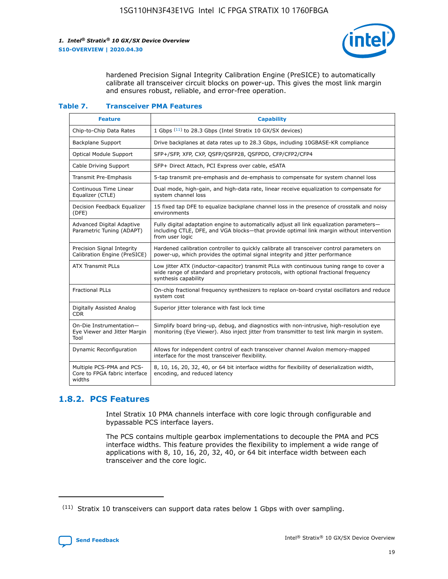

hardened Precision Signal Integrity Calibration Engine (PreSICE) to automatically calibrate all transceiver circuit blocks on power-up. This gives the most link margin and ensures robust, reliable, and error-free operation.

#### **Table 7. Transceiver PMA Features**

| <b>Feature</b>                                                       | <b>Capability</b>                                                                                                                                                                                         |
|----------------------------------------------------------------------|-----------------------------------------------------------------------------------------------------------------------------------------------------------------------------------------------------------|
| Chip-to-Chip Data Rates                                              | 1 Gbps (11) to 28.3 Gbps (Intel Stratix 10 GX/SX devices)                                                                                                                                                 |
| <b>Backplane Support</b>                                             | Drive backplanes at data rates up to 28.3 Gbps, including 10GBASE-KR compliance                                                                                                                           |
| Optical Module Support                                               | SFP+/SFP, XFP, CXP, QSFP/QSFP28, QSFPDD, CFP/CFP2/CFP4                                                                                                                                                    |
| Cable Driving Support                                                | SFP+ Direct Attach, PCI Express over cable, eSATA                                                                                                                                                         |
| <b>Transmit Pre-Emphasis</b>                                         | 5-tap transmit pre-emphasis and de-emphasis to compensate for system channel loss                                                                                                                         |
| Continuous Time Linear<br>Equalizer (CTLE)                           | Dual mode, high-gain, and high-data rate, linear receive equalization to compensate for<br>system channel loss                                                                                            |
| Decision Feedback Equalizer<br>(DFE)                                 | 15 fixed tap DFE to equalize backplane channel loss in the presence of crosstalk and noisy<br>environments                                                                                                |
| Advanced Digital Adaptive<br>Parametric Tuning (ADAPT)               | Fully digital adaptation engine to automatically adjust all link equalization parameters-<br>including CTLE, DFE, and VGA blocks-that provide optimal link margin without intervention<br>from user logic |
| Precision Signal Integrity<br>Calibration Engine (PreSICE)           | Hardened calibration controller to quickly calibrate all transceiver control parameters on<br>power-up, which provides the optimal signal integrity and jitter performance                                |
| <b>ATX Transmit PLLs</b>                                             | Low jitter ATX (inductor-capacitor) transmit PLLs with continuous tuning range to cover a<br>wide range of standard and proprietary protocols, with optional fractional frequency<br>synthesis capability |
| <b>Fractional PLLs</b>                                               | On-chip fractional frequency synthesizers to replace on-board crystal oscillators and reduce<br>system cost                                                                                               |
| Digitally Assisted Analog<br>CDR.                                    | Superior jitter tolerance with fast lock time                                                                                                                                                             |
| On-Die Instrumentation-<br>Eye Viewer and Jitter Margin<br>Tool      | Simplify board bring-up, debug, and diagnostics with non-intrusive, high-resolution eye<br>monitoring (Eye Viewer). Also inject jitter from transmitter to test link margin in system.                    |
| Dynamic Reconfiguration                                              | Allows for independent control of each transceiver channel Avalon memory-mapped<br>interface for the most transceiver flexibility.                                                                        |
| Multiple PCS-PMA and PCS-<br>Core to FPGA fabric interface<br>widths | 8, 10, 16, 20, 32, 40, or 64 bit interface widths for flexibility of deserialization width,<br>encoding, and reduced latency                                                                              |

## **1.8.2. PCS Features**

Intel Stratix 10 PMA channels interface with core logic through configurable and bypassable PCS interface layers.

The PCS contains multiple gearbox implementations to decouple the PMA and PCS interface widths. This feature provides the flexibility to implement a wide range of applications with 8, 10, 16, 20, 32, 40, or 64 bit interface width between each transceiver and the core logic.

 $(11)$  Stratix 10 transceivers can support data rates below 1 Gbps with over sampling.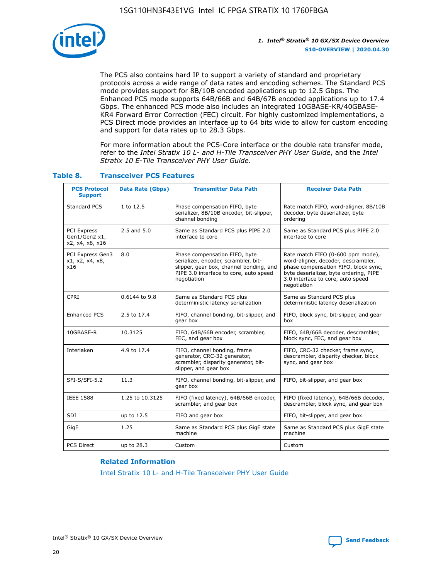

The PCS also contains hard IP to support a variety of standard and proprietary protocols across a wide range of data rates and encoding schemes. The Standard PCS mode provides support for 8B/10B encoded applications up to 12.5 Gbps. The Enhanced PCS mode supports 64B/66B and 64B/67B encoded applications up to 17.4 Gbps. The enhanced PCS mode also includes an integrated 10GBASE-KR/40GBASE-KR4 Forward Error Correction (FEC) circuit. For highly customized implementations, a PCS Direct mode provides an interface up to 64 bits wide to allow for custom encoding and support for data rates up to 28.3 Gbps.

For more information about the PCS-Core interface or the double rate transfer mode, refer to the *Intel Stratix 10 L- and H-Tile Transceiver PHY User Guide*, and the *Intel Stratix 10 E-Tile Transceiver PHY User Guide*.

| <b>PCS Protocol</b><br><b>Support</b>                  | <b>Data Rate (Gbps)</b> | <b>Transmitter Data Path</b>                                                                                                                                              | <b>Receiver Data Path</b>                                                                                                                                                                                      |
|--------------------------------------------------------|-------------------------|---------------------------------------------------------------------------------------------------------------------------------------------------------------------------|----------------------------------------------------------------------------------------------------------------------------------------------------------------------------------------------------------------|
| Standard PCS                                           | 1 to 12.5               | Phase compensation FIFO, byte<br>serializer, 8B/10B encoder, bit-slipper,<br>channel bonding                                                                              | Rate match FIFO, word-aligner, 8B/10B<br>decoder, byte deserializer, byte<br>ordering                                                                                                                          |
| <b>PCI Express</b><br>Gen1/Gen2 x1,<br>x2, x4, x8, x16 | $2.5$ and $5.0$         | Same as Standard PCS plus PIPE 2.0<br>interface to core                                                                                                                   | Same as Standard PCS plus PIPE 2.0<br>interface to core                                                                                                                                                        |
| PCI Express Gen3<br>x1, x2, x4, x8,<br>x16             | 8.0                     | Phase compensation FIFO, byte<br>serializer, encoder, scrambler, bit-<br>slipper, gear box, channel bonding, and<br>PIPE 3.0 interface to core, auto speed<br>negotiation | Rate match FIFO (0-600 ppm mode),<br>word-aligner, decoder, descrambler,<br>phase compensation FIFO, block sync,<br>byte deserializer, byte ordering, PIPE<br>3.0 interface to core, auto speed<br>negotiation |
| CPRI                                                   | 0.6144 to 9.8           | Same as Standard PCS plus<br>deterministic latency serialization                                                                                                          | Same as Standard PCS plus<br>deterministic latency deserialization                                                                                                                                             |
| <b>Enhanced PCS</b>                                    | 2.5 to 17.4             | FIFO, channel bonding, bit-slipper, and<br>gear box                                                                                                                       | FIFO, block sync, bit-slipper, and gear<br>box                                                                                                                                                                 |
| 10GBASE-R                                              | 10.3125                 | FIFO, 64B/66B encoder, scrambler,<br>FEC, and gear box                                                                                                                    | FIFO, 64B/66B decoder, descrambler,<br>block sync, FEC, and gear box                                                                                                                                           |
| Interlaken                                             | 4.9 to 17.4             | FIFO, channel bonding, frame<br>generator, CRC-32 generator,<br>scrambler, disparity generator, bit-<br>slipper, and gear box                                             | FIFO, CRC-32 checker, frame sync,<br>descrambler, disparity checker, block<br>sync, and gear box                                                                                                               |
| SFI-S/SFI-5.2                                          | 11.3                    | FIFO, channel bonding, bit-slipper, and<br>gear box                                                                                                                       | FIFO, bit-slipper, and gear box                                                                                                                                                                                |
| <b>IEEE 1588</b>                                       | 1.25 to 10.3125         | FIFO (fixed latency), 64B/66B encoder,<br>scrambler, and gear box                                                                                                         | FIFO (fixed latency), 64B/66B decoder,<br>descrambler, block sync, and gear box                                                                                                                                |
| SDI                                                    | up to 12.5              | FIFO and gear box                                                                                                                                                         | FIFO, bit-slipper, and gear box                                                                                                                                                                                |
| GigE                                                   | 1.25                    | Same as Standard PCS plus GigE state<br>machine                                                                                                                           | Same as Standard PCS plus GigE state<br>machine                                                                                                                                                                |
| <b>PCS Direct</b>                                      | up to 28.3              | Custom                                                                                                                                                                    | Custom                                                                                                                                                                                                         |

## **Table 8. Transceiver PCS Features**

#### **Related Information**

[Intel Stratix 10 L- and H-Tile Transceiver PHY User Guide](https://www.altera.com/documentation/wry1479165198810.html)

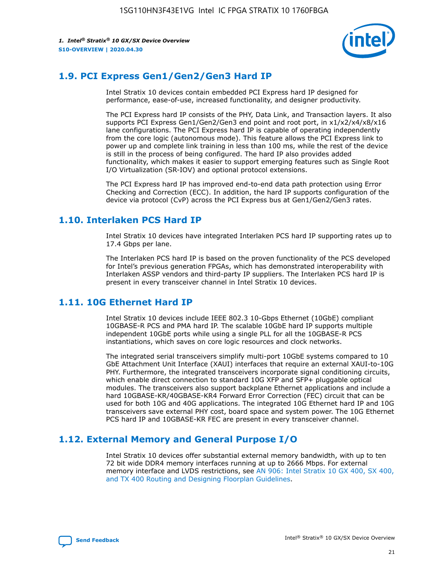

## **1.9. PCI Express Gen1/Gen2/Gen3 Hard IP**

Intel Stratix 10 devices contain embedded PCI Express hard IP designed for performance, ease-of-use, increased functionality, and designer productivity.

The PCI Express hard IP consists of the PHY, Data Link, and Transaction layers. It also supports PCI Express Gen1/Gen2/Gen3 end point and root port, in x1/x2/x4/x8/x16 lane configurations. The PCI Express hard IP is capable of operating independently from the core logic (autonomous mode). This feature allows the PCI Express link to power up and complete link training in less than 100 ms, while the rest of the device is still in the process of being configured. The hard IP also provides added functionality, which makes it easier to support emerging features such as Single Root I/O Virtualization (SR-IOV) and optional protocol extensions.

The PCI Express hard IP has improved end-to-end data path protection using Error Checking and Correction (ECC). In addition, the hard IP supports configuration of the device via protocol (CvP) across the PCI Express bus at Gen1/Gen2/Gen3 rates.

## **1.10. Interlaken PCS Hard IP**

Intel Stratix 10 devices have integrated Interlaken PCS hard IP supporting rates up to 17.4 Gbps per lane.

The Interlaken PCS hard IP is based on the proven functionality of the PCS developed for Intel's previous generation FPGAs, which has demonstrated interoperability with Interlaken ASSP vendors and third-party IP suppliers. The Interlaken PCS hard IP is present in every transceiver channel in Intel Stratix 10 devices.

## **1.11. 10G Ethernet Hard IP**

Intel Stratix 10 devices include IEEE 802.3 10-Gbps Ethernet (10GbE) compliant 10GBASE-R PCS and PMA hard IP. The scalable 10GbE hard IP supports multiple independent 10GbE ports while using a single PLL for all the 10GBASE-R PCS instantiations, which saves on core logic resources and clock networks.

The integrated serial transceivers simplify multi-port 10GbE systems compared to 10 GbE Attachment Unit Interface (XAUI) interfaces that require an external XAUI-to-10G PHY. Furthermore, the integrated transceivers incorporate signal conditioning circuits, which enable direct connection to standard 10G XFP and SFP+ pluggable optical modules. The transceivers also support backplane Ethernet applications and include a hard 10GBASE-KR/40GBASE-KR4 Forward Error Correction (FEC) circuit that can be used for both 10G and 40G applications. The integrated 10G Ethernet hard IP and 10G transceivers save external PHY cost, board space and system power. The 10G Ethernet PCS hard IP and 10GBASE-KR FEC are present in every transceiver channel.

## **1.12. External Memory and General Purpose I/O**

Intel Stratix 10 devices offer substantial external memory bandwidth, with up to ten 72 bit wide DDR4 memory interfaces running at up to 2666 Mbps. For external memory interface and LVDS restrictions, see [AN 906: Intel Stratix 10 GX 400, SX 400,](https://www.intel.com/content/www/us/en/programmable/documentation/sjf1574667190623.html#bft1574667627484) [and TX 400 Routing and Designing Floorplan Guidelines.](https://www.intel.com/content/www/us/en/programmable/documentation/sjf1574667190623.html#bft1574667627484)

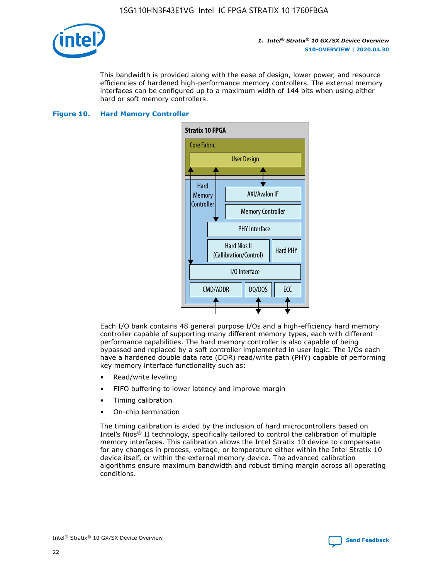

This bandwidth is provided along with the ease of design, lower power, and resource efficiencies of hardened high-performance memory controllers. The external memory interfaces can be configured up to a maximum width of 144 bits when using either hard or soft memory controllers.

#### **Figure 10. Hard Memory Controller**



Each I/O bank contains 48 general purpose I/Os and a high-efficiency hard memory controller capable of supporting many different memory types, each with different performance capabilities. The hard memory controller is also capable of being bypassed and replaced by a soft controller implemented in user logic. The I/Os each have a hardened double data rate (DDR) read/write path (PHY) capable of performing key memory interface functionality such as:

- Read/write leveling
- FIFO buffering to lower latency and improve margin
- Timing calibration
- On-chip termination

The timing calibration is aided by the inclusion of hard microcontrollers based on Intel's Nios® II technology, specifically tailored to control the calibration of multiple memory interfaces. This calibration allows the Intel Stratix 10 device to compensate for any changes in process, voltage, or temperature either within the Intel Stratix 10 device itself, or within the external memory device. The advanced calibration algorithms ensure maximum bandwidth and robust timing margin across all operating conditions.

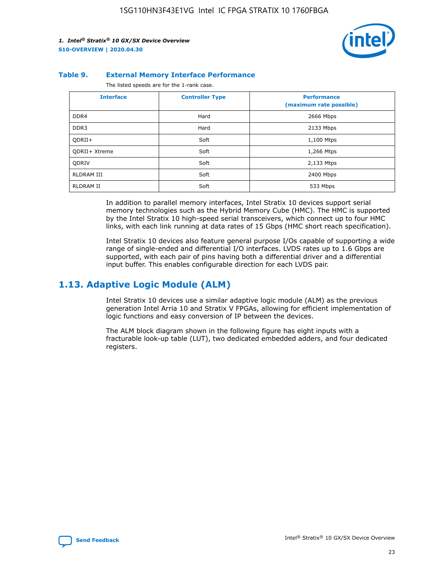

#### **Table 9. External Memory Interface Performance**

The listed speeds are for the 1-rank case.

| <b>Interface</b>     | <b>Controller Type</b> | <b>Performance</b><br>(maximum rate possible) |
|----------------------|------------------------|-----------------------------------------------|
| DDR4                 | Hard                   | 2666 Mbps                                     |
| DDR <sub>3</sub>     | Hard                   | 2133 Mbps                                     |
| QDRII+               | Soft                   | 1,100 Mtps                                    |
| <b>ODRII+ Xtreme</b> | Soft                   | 1,266 Mtps                                    |
| <b>ODRIV</b>         | Soft                   | 2,133 Mtps                                    |
| RLDRAM III           | Soft                   | 2400 Mbps                                     |
| <b>RLDRAM II</b>     | Soft                   | 533 Mbps                                      |

In addition to parallel memory interfaces, Intel Stratix 10 devices support serial memory technologies such as the Hybrid Memory Cube (HMC). The HMC is supported by the Intel Stratix 10 high-speed serial transceivers, which connect up to four HMC links, with each link running at data rates of 15 Gbps (HMC short reach specification).

Intel Stratix 10 devices also feature general purpose I/Os capable of supporting a wide range of single-ended and differential I/O interfaces. LVDS rates up to 1.6 Gbps are supported, with each pair of pins having both a differential driver and a differential input buffer. This enables configurable direction for each LVDS pair.

## **1.13. Adaptive Logic Module (ALM)**

Intel Stratix 10 devices use a similar adaptive logic module (ALM) as the previous generation Intel Arria 10 and Stratix V FPGAs, allowing for efficient implementation of logic functions and easy conversion of IP between the devices.

The ALM block diagram shown in the following figure has eight inputs with a fracturable look-up table (LUT), two dedicated embedded adders, and four dedicated registers.

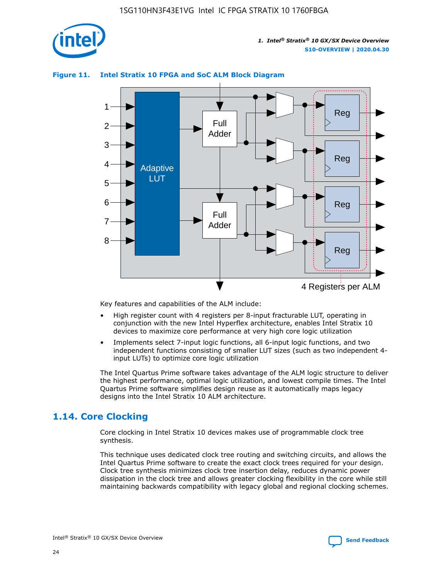

## **Figure 11. Intel Stratix 10 FPGA and SoC ALM Block Diagram**



Key features and capabilities of the ALM include:

- High register count with 4 registers per 8-input fracturable LUT, operating in conjunction with the new Intel Hyperflex architecture, enables Intel Stratix 10 devices to maximize core performance at very high core logic utilization
- Implements select 7-input logic functions, all 6-input logic functions, and two independent functions consisting of smaller LUT sizes (such as two independent 4 input LUTs) to optimize core logic utilization

The Intel Quartus Prime software takes advantage of the ALM logic structure to deliver the highest performance, optimal logic utilization, and lowest compile times. The Intel Quartus Prime software simplifies design reuse as it automatically maps legacy designs into the Intel Stratix 10 ALM architecture.

## **1.14. Core Clocking**

Core clocking in Intel Stratix 10 devices makes use of programmable clock tree synthesis.

This technique uses dedicated clock tree routing and switching circuits, and allows the Intel Quartus Prime software to create the exact clock trees required for your design. Clock tree synthesis minimizes clock tree insertion delay, reduces dynamic power dissipation in the clock tree and allows greater clocking flexibility in the core while still maintaining backwards compatibility with legacy global and regional clocking schemes.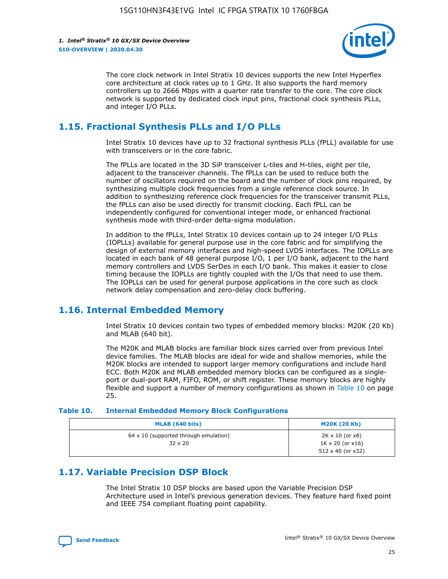

The core clock network in Intel Stratix 10 devices supports the new Intel Hyperflex core architecture at clock rates up to 1 GHz. It also supports the hard memory controllers up to 2666 Mbps with a quarter rate transfer to the core. The core clock network is supported by dedicated clock input pins, fractional clock synthesis PLLs, and integer I/O PLLs.

## **1.15. Fractional Synthesis PLLs and I/O PLLs**

Intel Stratix 10 devices have up to 32 fractional synthesis PLLs (fPLL) available for use with transceivers or in the core fabric.

The fPLLs are located in the 3D SiP transceiver L-tiles and H-tiles, eight per tile, adjacent to the transceiver channels. The fPLLs can be used to reduce both the number of oscillators required on the board and the number of clock pins required, by synthesizing multiple clock frequencies from a single reference clock source. In addition to synthesizing reference clock frequencies for the transceiver transmit PLLs, the fPLLs can also be used directly for transmit clocking. Each fPLL can be independently configured for conventional integer mode, or enhanced fractional synthesis mode with third-order delta-sigma modulation.

In addition to the fPLLs, Intel Stratix 10 devices contain up to 24 integer I/O PLLs (IOPLLs) available for general purpose use in the core fabric and for simplifying the design of external memory interfaces and high-speed LVDS interfaces. The IOPLLs are located in each bank of 48 general purpose I/O, 1 per I/O bank, adjacent to the hard memory controllers and LVDS SerDes in each I/O bank. This makes it easier to close timing because the IOPLLs are tightly coupled with the I/Os that need to use them. The IOPLLs can be used for general purpose applications in the core such as clock network delay compensation and zero-delay clock buffering.

## **1.16. Internal Embedded Memory**

Intel Stratix 10 devices contain two types of embedded memory blocks: M20K (20 Kb) and MLAB (640 bit).

The M20K and MLAB blocks are familiar block sizes carried over from previous Intel device families. The MLAB blocks are ideal for wide and shallow memories, while the M20K blocks are intended to support larger memory configurations and include hard ECC. Both M20K and MLAB embedded memory blocks can be configured as a singleport or dual-port RAM, FIFO, ROM, or shift register. These memory blocks are highly flexible and support a number of memory configurations as shown in Table 10 on page 25.

#### **Table 10. Internal Embedded Memory Block Configurations**

| MLAB (640 bits)                                                | <b>M20K (20 Kb)</b>                                                                    |
|----------------------------------------------------------------|----------------------------------------------------------------------------------------|
| $64 \times 10$ (supported through emulation)<br>$32 \times 20$ | $2K \times 10$ (or $x8$ )<br>$1K \times 20$ (or $x16$ )<br>$512 \times 40$ (or $x32$ ) |

## **1.17. Variable Precision DSP Block**

The Intel Stratix 10 DSP blocks are based upon the Variable Precision DSP Architecture used in Intel's previous generation devices. They feature hard fixed point and IEEE 754 compliant floating point capability.

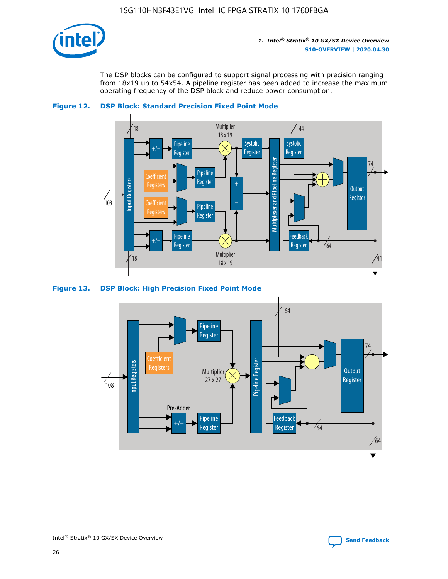

The DSP blocks can be configured to support signal processing with precision ranging from 18x19 up to 54x54. A pipeline register has been added to increase the maximum operating frequency of the DSP block and reduce power consumption.





#### **Figure 13. DSP Block: High Precision Fixed Point Mode**

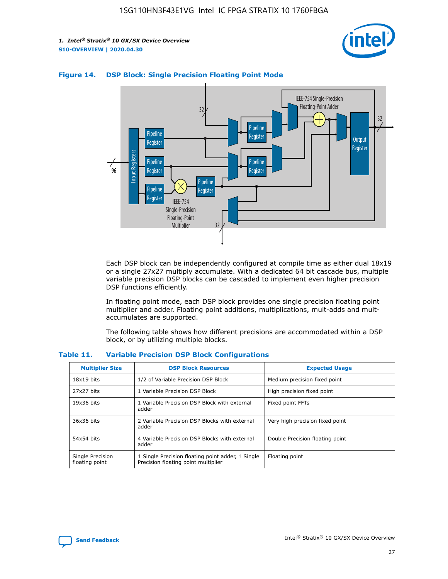



## **Figure 14. DSP Block: Single Precision Floating Point Mode**

Each DSP block can be independently configured at compile time as either dual 18x19 or a single 27x27 multiply accumulate. With a dedicated 64 bit cascade bus, multiple variable precision DSP blocks can be cascaded to implement even higher precision DSP functions efficiently.

In floating point mode, each DSP block provides one single precision floating point multiplier and adder. Floating point additions, multiplications, mult-adds and multaccumulates are supported.

The following table shows how different precisions are accommodated within a DSP block, or by utilizing multiple blocks.

| <b>Multiplier Size</b>             | <b>DSP Block Resources</b>                                                               | <b>Expected Usage</b>           |
|------------------------------------|------------------------------------------------------------------------------------------|---------------------------------|
| $18x19$ bits                       | 1/2 of Variable Precision DSP Block                                                      | Medium precision fixed point    |
| 27x27 bits                         | 1 Variable Precision DSP Block                                                           | High precision fixed point      |
| $19x36$ bits                       | 1 Variable Precision DSP Block with external<br>adder                                    | Fixed point FFTs                |
| 36x36 bits                         | 2 Variable Precision DSP Blocks with external<br>adder                                   | Very high precision fixed point |
| 54x54 bits                         | 4 Variable Precision DSP Blocks with external<br>adder                                   | Double Precision floating point |
| Single Precision<br>floating point | 1 Single Precision floating point adder, 1 Single<br>Precision floating point multiplier | Floating point                  |

#### **Table 11. Variable Precision DSP Block Configurations**

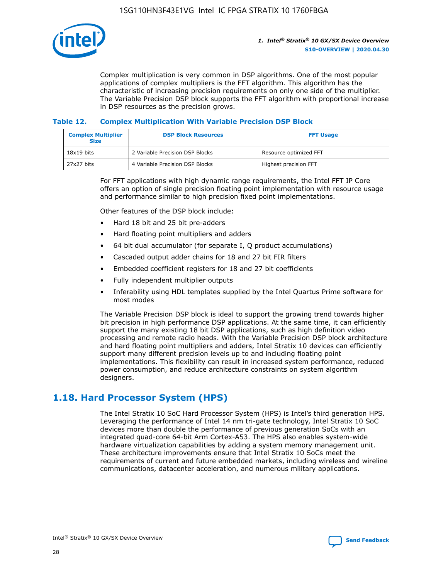

Complex multiplication is very common in DSP algorithms. One of the most popular applications of complex multipliers is the FFT algorithm. This algorithm has the characteristic of increasing precision requirements on only one side of the multiplier. The Variable Precision DSP block supports the FFT algorithm with proportional increase in DSP resources as the precision grows.

### **Table 12. Complex Multiplication With Variable Precision DSP Block**

| <b>Complex Multiplier</b><br><b>Size</b> | <b>DSP Block Resources</b>      | <b>FFT Usage</b>       |
|------------------------------------------|---------------------------------|------------------------|
| $18x19$ bits                             | 2 Variable Precision DSP Blocks | Resource optimized FFT |
| 27x27 bits                               | 4 Variable Precision DSP Blocks | Highest precision FFT  |

For FFT applications with high dynamic range requirements, the Intel FFT IP Core offers an option of single precision floating point implementation with resource usage and performance similar to high precision fixed point implementations.

Other features of the DSP block include:

- Hard 18 bit and 25 bit pre-adders
- Hard floating point multipliers and adders
- 64 bit dual accumulator (for separate I, Q product accumulations)
- Cascaded output adder chains for 18 and 27 bit FIR filters
- Embedded coefficient registers for 18 and 27 bit coefficients
- Fully independent multiplier outputs
- Inferability using HDL templates supplied by the Intel Quartus Prime software for most modes

The Variable Precision DSP block is ideal to support the growing trend towards higher bit precision in high performance DSP applications. At the same time, it can efficiently support the many existing 18 bit DSP applications, such as high definition video processing and remote radio heads. With the Variable Precision DSP block architecture and hard floating point multipliers and adders, Intel Stratix 10 devices can efficiently support many different precision levels up to and including floating point implementations. This flexibility can result in increased system performance, reduced power consumption, and reduce architecture constraints on system algorithm designers.

## **1.18. Hard Processor System (HPS)**

The Intel Stratix 10 SoC Hard Processor System (HPS) is Intel's third generation HPS. Leveraging the performance of Intel 14 nm tri-gate technology, Intel Stratix 10 SoC devices more than double the performance of previous generation SoCs with an integrated quad-core 64-bit Arm Cortex-A53. The HPS also enables system-wide hardware virtualization capabilities by adding a system memory management unit. These architecture improvements ensure that Intel Stratix 10 SoCs meet the requirements of current and future embedded markets, including wireless and wireline communications, datacenter acceleration, and numerous military applications.

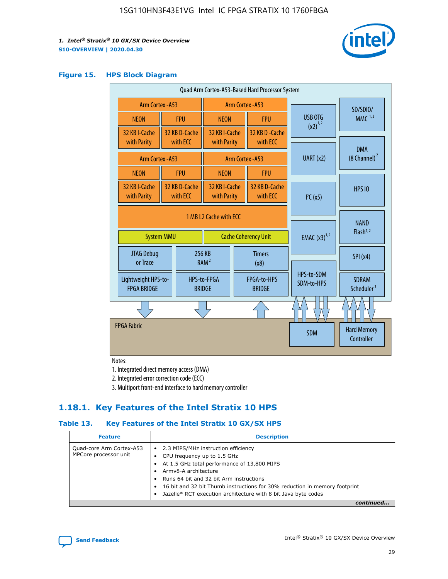

### **Figure 15. HPS Block Diagram**

| Quad Arm Cortex-A53-Based Hard Processor System |  |                                                       |                                                           |  |                              |                                     |                                        |
|-------------------------------------------------|--|-------------------------------------------------------|-----------------------------------------------------------|--|------------------------------|-------------------------------------|----------------------------------------|
| Arm Cortex - A53                                |  | Arm Cortex - A53                                      |                                                           |  |                              | SD/SDIO/                            |                                        |
| <b>NEON</b>                                     |  | <b>FPU</b>                                            | <b>NEON</b>                                               |  | <b>FPU</b>                   | USB OTG                             | $MMC$ <sup>1,2</sup>                   |
| 32 KB I-Cache<br>with Parity                    |  | 32 KB D-Cache<br>with ECC                             | 32 KB I-Cache<br>with Parity                              |  | 32 KB D - Cache<br>with ECC  | $(x2)^{1,2}$                        |                                        |
| Arm Cortex - A53                                |  |                                                       |                                                           |  | Arm Cortex - A53             | UART (x2)                           | <b>DMA</b><br>(8 Channel) <sup>2</sup> |
| <b>NEON</b>                                     |  | <b>FPU</b>                                            | <b>NEON</b>                                               |  | <b>FPU</b>                   |                                     |                                        |
| 32 KB I-Cache<br>with Parity                    |  | 32 KB D-Cache<br>with ECC                             | 32 KB I-Cache<br>32 KB D-Cache<br>with ECC<br>with Parity |  | I <sup>2</sup> C(x5)         | <b>HPS 10</b>                       |                                        |
| <b>System MMU</b>                               |  | 1 MB L2 Cache with ECC<br><b>Cache Coherency Unit</b> |                                                           |  | <b>EMAC</b> $(x3)^{1,2}$     | <b>NAND</b><br>Flash <sup>1,2</sup> |                                        |
| <b>JTAG Debug</b><br>or Trace                   |  | 256 KB                                                | <b>Timers</b><br>RAM <sup>2</sup><br>(x8)                 |  |                              | SPI(x4)                             |                                        |
| Lightweight HPS-to-<br><b>FPGA BRIDGE</b>       |  |                                                       | HPS-to-FPGA<br><b>BRIDGE</b>                              |  | FPGA-to-HPS<br><b>BRIDGE</b> | HPS-to-SDM<br>SDM-to-HPS            | <b>SDRAM</b><br>Scheduler <sup>3</sup> |
|                                                 |  |                                                       |                                                           |  |                              |                                     |                                        |
| <b>FPGA Fabric</b>                              |  |                                                       |                                                           |  |                              | <b>SDM</b>                          | <b>Hard Memory</b><br>Controller       |

Notes:

1. Integrated direct memory access (DMA)

2. Integrated error correction code (ECC)

3. Multiport front-end interface to hard memory controller

## **1.18.1. Key Features of the Intel Stratix 10 HPS**

## **Table 13. Key Features of the Intel Stratix 10 GX/SX HPS**

| <b>Feature</b>                                    | <b>Description</b>                                                                                                                                                                                                                                                                                                                                     |
|---------------------------------------------------|--------------------------------------------------------------------------------------------------------------------------------------------------------------------------------------------------------------------------------------------------------------------------------------------------------------------------------------------------------|
| Quad-core Arm Cortex-A53<br>MPCore processor unit | 2.3 MIPS/MHz instruction efficiency<br>$\bullet$<br>CPU frequency up to 1.5 GHz<br>٠<br>At 1.5 GHz total performance of 13,800 MIPS<br>Army8-A architecture<br>Runs 64 bit and 32 bit Arm instructions<br>16 bit and 32 bit Thumb instructions for 30% reduction in memory footprint<br>Jazelle* RCT execution architecture with 8 bit Java byte codes |
|                                                   |                                                                                                                                                                                                                                                                                                                                                        |

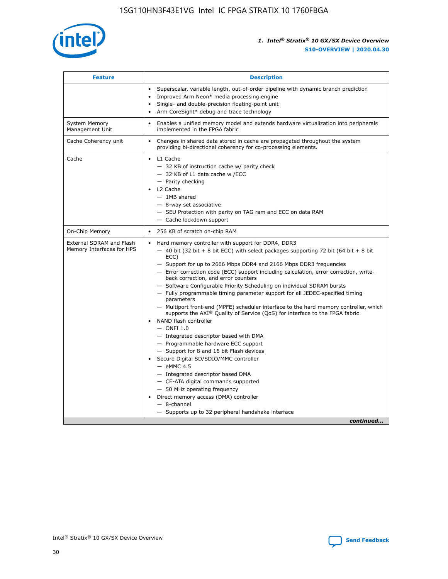

| <b>Feature</b>                                        | <b>Description</b>                                                                                                                                                                                                                                                                                                                                                                                                                                                                                                                                                                                                                                                                                                                                                                                                                                                                                                                                                                                                                                                                                                                                                                                               |
|-------------------------------------------------------|------------------------------------------------------------------------------------------------------------------------------------------------------------------------------------------------------------------------------------------------------------------------------------------------------------------------------------------------------------------------------------------------------------------------------------------------------------------------------------------------------------------------------------------------------------------------------------------------------------------------------------------------------------------------------------------------------------------------------------------------------------------------------------------------------------------------------------------------------------------------------------------------------------------------------------------------------------------------------------------------------------------------------------------------------------------------------------------------------------------------------------------------------------------------------------------------------------------|
|                                                       | Superscalar, variable length, out-of-order pipeline with dynamic branch prediction<br>Improved Arm Neon* media processing engine<br>$\bullet$<br>Single- and double-precision floating-point unit<br>Arm CoreSight* debug and trace technology                                                                                                                                                                                                                                                                                                                                                                                                                                                                                                                                                                                                                                                                                                                                                                                                                                                                                                                                                                   |
| <b>System Memory</b><br>Management Unit               | Enables a unified memory model and extends hardware virtualization into peripherals<br>implemented in the FPGA fabric                                                                                                                                                                                                                                                                                                                                                                                                                                                                                                                                                                                                                                                                                                                                                                                                                                                                                                                                                                                                                                                                                            |
| Cache Coherency unit                                  | Changes in shared data stored in cache are propagated throughout the system<br>$\bullet$<br>providing bi-directional coherency for co-processing elements.                                                                                                                                                                                                                                                                                                                                                                                                                                                                                                                                                                                                                                                                                                                                                                                                                                                                                                                                                                                                                                                       |
| Cache                                                 | • L1 Cache<br>- 32 KB of instruction cache w/ parity check<br>- 32 KB of L1 data cache w /ECC<br>- Parity checking<br>L2 Cache<br>$-$ 1MB shared<br>- 8-way set associative<br>- SEU Protection with parity on TAG ram and ECC on data RAM<br>- Cache lockdown support                                                                                                                                                                                                                                                                                                                                                                                                                                                                                                                                                                                                                                                                                                                                                                                                                                                                                                                                           |
| On-Chip Memory                                        | 256 KB of scratch on-chip RAM                                                                                                                                                                                                                                                                                                                                                                                                                                                                                                                                                                                                                                                                                                                                                                                                                                                                                                                                                                                                                                                                                                                                                                                    |
| External SDRAM and Flash<br>Memory Interfaces for HPS | Hard memory controller with support for DDR4, DDR3<br>$\bullet$<br>$-$ 40 bit (32 bit + 8 bit ECC) with select packages supporting 72 bit (64 bit + 8 bit<br>ECC)<br>- Support for up to 2666 Mbps DDR4 and 2166 Mbps DDR3 frequencies<br>- Error correction code (ECC) support including calculation, error correction, write-<br>back correction, and error counters<br>- Software Configurable Priority Scheduling on individual SDRAM bursts<br>- Fully programmable timing parameter support for all JEDEC-specified timing<br>parameters<br>- Multiport front-end (MPFE) scheduler interface to the hard memory controller, which<br>supports the $AXI^{\circledR}$ Quality of Service (QoS) for interface to the FPGA fabric<br>NAND flash controller<br>$-$ ONFI 1.0<br>- Integrated descriptor based with DMA<br>- Programmable hardware ECC support<br>- Support for 8 and 16 bit Flash devices<br>Secure Digital SD/SDIO/MMC controller<br>$-$ eMMC 4.5<br>- Integrated descriptor based DMA<br>- CE-ATA digital commands supported<br>- 50 MHz operating frequency<br>Direct memory access (DMA) controller<br>٠<br>$-$ 8-channel<br>- Supports up to 32 peripheral handshake interface<br>continued |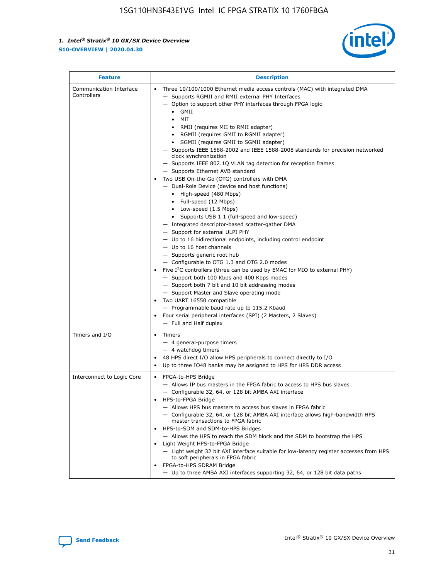

| <b>Feature</b>                         | <b>Description</b>                                                                                                                                                                                                                                                                                                                                                                                                                                                                                                                                                                                                                                                                                                                                                                                                                                                                                                                                                                                                                                                                                                                                                                                                                                                                                                                                                                                                                                                                                                     |
|----------------------------------------|------------------------------------------------------------------------------------------------------------------------------------------------------------------------------------------------------------------------------------------------------------------------------------------------------------------------------------------------------------------------------------------------------------------------------------------------------------------------------------------------------------------------------------------------------------------------------------------------------------------------------------------------------------------------------------------------------------------------------------------------------------------------------------------------------------------------------------------------------------------------------------------------------------------------------------------------------------------------------------------------------------------------------------------------------------------------------------------------------------------------------------------------------------------------------------------------------------------------------------------------------------------------------------------------------------------------------------------------------------------------------------------------------------------------------------------------------------------------------------------------------------------------|
| Communication Interface<br>Controllers | Three 10/100/1000 Ethernet media access controls (MAC) with integrated DMA<br>- Supports RGMII and RMII external PHY Interfaces<br>- Option to support other PHY interfaces through FPGA logic<br>$\bullet$ GMII<br>MII<br>$\bullet$<br>RMII (requires MII to RMII adapter)<br>$\bullet$<br>• RGMII (requires GMII to RGMII adapter)<br>• SGMII (requires GMII to SGMII adapter)<br>- Supports IEEE 1588-2002 and IEEE 1588-2008 standards for precision networked<br>clock synchronization<br>- Supports IEEE 802.1Q VLAN tag detection for reception frames<br>- Supports Ethernet AVB standard<br>Two USB On-the-Go (OTG) controllers with DMA<br>- Dual-Role Device (device and host functions)<br>• High-speed (480 Mbps)<br>• Full-speed (12 Mbps)<br>• Low-speed (1.5 Mbps)<br>• Supports USB 1.1 (full-speed and low-speed)<br>- Integrated descriptor-based scatter-gather DMA<br>- Support for external ULPI PHY<br>- Up to 16 bidirectional endpoints, including control endpoint<br>$-$ Up to 16 host channels<br>- Supports generic root hub<br>- Configurable to OTG 1.3 and OTG 2.0 modes<br>Five I <sup>2</sup> C controllers (three can be used by EMAC for MIO to external PHY)<br>- Support both 100 Kbps and 400 Kbps modes<br>- Support both 7 bit and 10 bit addressing modes<br>- Support Master and Slave operating mode<br>Two UART 16550 compatible<br>- Programmable baud rate up to 115.2 Kbaud<br>Four serial peripheral interfaces (SPI) (2 Masters, 2 Slaves)<br>- Full and Half duplex |
| Timers and I/O                         | • Timers<br>- 4 general-purpose timers<br>$-4$ watchdog timers<br>48 HPS direct I/O allow HPS peripherals to connect directly to I/O<br>Up to three IO48 banks may be assigned to HPS for HPS DDR access                                                                                                                                                                                                                                                                                                                                                                                                                                                                                                                                                                                                                                                                                                                                                                                                                                                                                                                                                                                                                                                                                                                                                                                                                                                                                                               |
| Interconnect to Logic Core             | • FPGA-to-HPS Bridge<br>- Allows IP bus masters in the FPGA fabric to access to HPS bus slaves<br>- Configurable 32, 64, or 128 bit AMBA AXI interface<br>HPS-to-FPGA Bridge<br>- Allows HPS bus masters to access bus slaves in FPGA fabric<br>- Configurable 32, 64, or 128 bit AMBA AXI interface allows high-bandwidth HPS<br>master transactions to FPGA fabric<br>HPS-to-SDM and SDM-to-HPS Bridges<br>- Allows the HPS to reach the SDM block and the SDM to bootstrap the HPS<br>Light Weight HPS-to-FPGA Bridge<br>- Light weight 32 bit AXI interface suitable for low-latency register accesses from HPS<br>to soft peripherals in FPGA fabric<br>FPGA-to-HPS SDRAM Bridge<br>- Up to three AMBA AXI interfaces supporting 32, 64, or 128 bit data paths                                                                                                                                                                                                                                                                                                                                                                                                                                                                                                                                                                                                                                                                                                                                                    |

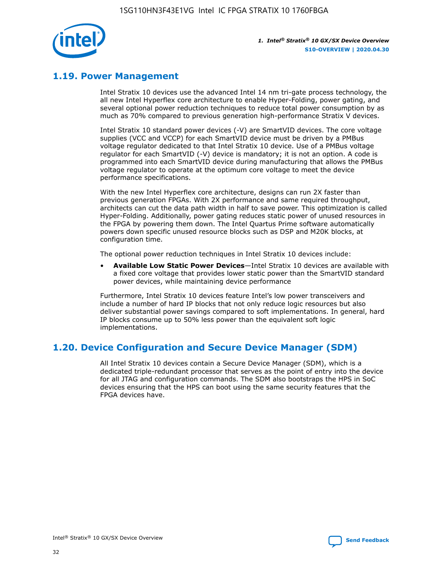

## **1.19. Power Management**

Intel Stratix 10 devices use the advanced Intel 14 nm tri-gate process technology, the all new Intel Hyperflex core architecture to enable Hyper-Folding, power gating, and several optional power reduction techniques to reduce total power consumption by as much as 70% compared to previous generation high-performance Stratix V devices.

Intel Stratix 10 standard power devices (-V) are SmartVID devices. The core voltage supplies (VCC and VCCP) for each SmartVID device must be driven by a PMBus voltage regulator dedicated to that Intel Stratix 10 device. Use of a PMBus voltage regulator for each SmartVID (-V) device is mandatory; it is not an option. A code is programmed into each SmartVID device during manufacturing that allows the PMBus voltage regulator to operate at the optimum core voltage to meet the device performance specifications.

With the new Intel Hyperflex core architecture, designs can run 2X faster than previous generation FPGAs. With 2X performance and same required throughput, architects can cut the data path width in half to save power. This optimization is called Hyper-Folding. Additionally, power gating reduces static power of unused resources in the FPGA by powering them down. The Intel Quartus Prime software automatically powers down specific unused resource blocks such as DSP and M20K blocks, at configuration time.

The optional power reduction techniques in Intel Stratix 10 devices include:

• **Available Low Static Power Devices**—Intel Stratix 10 devices are available with a fixed core voltage that provides lower static power than the SmartVID standard power devices, while maintaining device performance

Furthermore, Intel Stratix 10 devices feature Intel's low power transceivers and include a number of hard IP blocks that not only reduce logic resources but also deliver substantial power savings compared to soft implementations. In general, hard IP blocks consume up to 50% less power than the equivalent soft logic implementations.

## **1.20. Device Configuration and Secure Device Manager (SDM)**

All Intel Stratix 10 devices contain a Secure Device Manager (SDM), which is a dedicated triple-redundant processor that serves as the point of entry into the device for all JTAG and configuration commands. The SDM also bootstraps the HPS in SoC devices ensuring that the HPS can boot using the same security features that the FPGA devices have.

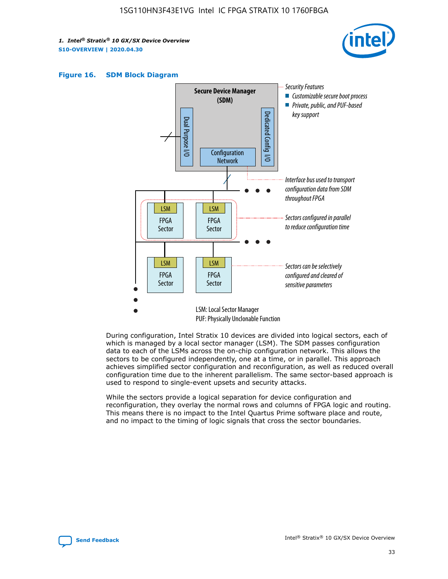





During configuration, Intel Stratix 10 devices are divided into logical sectors, each of which is managed by a local sector manager (LSM). The SDM passes configuration data to each of the LSMs across the on-chip configuration network. This allows the sectors to be configured independently, one at a time, or in parallel. This approach achieves simplified sector configuration and reconfiguration, as well as reduced overall configuration time due to the inherent parallelism. The same sector-based approach is used to respond to single-event upsets and security attacks.

While the sectors provide a logical separation for device configuration and reconfiguration, they overlay the normal rows and columns of FPGA logic and routing. This means there is no impact to the Intel Quartus Prime software place and route, and no impact to the timing of logic signals that cross the sector boundaries.

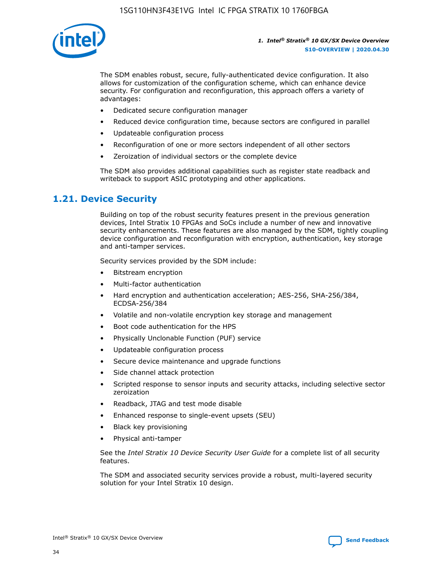

The SDM enables robust, secure, fully-authenticated device configuration. It also allows for customization of the configuration scheme, which can enhance device security. For configuration and reconfiguration, this approach offers a variety of advantages:

- Dedicated secure configuration manager
- Reduced device configuration time, because sectors are configured in parallel
- Updateable configuration process
- Reconfiguration of one or more sectors independent of all other sectors
- Zeroization of individual sectors or the complete device

The SDM also provides additional capabilities such as register state readback and writeback to support ASIC prototyping and other applications.

## **1.21. Device Security**

Building on top of the robust security features present in the previous generation devices, Intel Stratix 10 FPGAs and SoCs include a number of new and innovative security enhancements. These features are also managed by the SDM, tightly coupling device configuration and reconfiguration with encryption, authentication, key storage and anti-tamper services.

Security services provided by the SDM include:

- Bitstream encryption
- Multi-factor authentication
- Hard encryption and authentication acceleration; AES-256, SHA-256/384, ECDSA-256/384
- Volatile and non-volatile encryption key storage and management
- Boot code authentication for the HPS
- Physically Unclonable Function (PUF) service
- Updateable configuration process
- Secure device maintenance and upgrade functions
- Side channel attack protection
- Scripted response to sensor inputs and security attacks, including selective sector zeroization
- Readback, JTAG and test mode disable
- Enhanced response to single-event upsets (SEU)
- Black key provisioning
- Physical anti-tamper

See the *Intel Stratix 10 Device Security User Guide* for a complete list of all security features.

The SDM and associated security services provide a robust, multi-layered security solution for your Intel Stratix 10 design.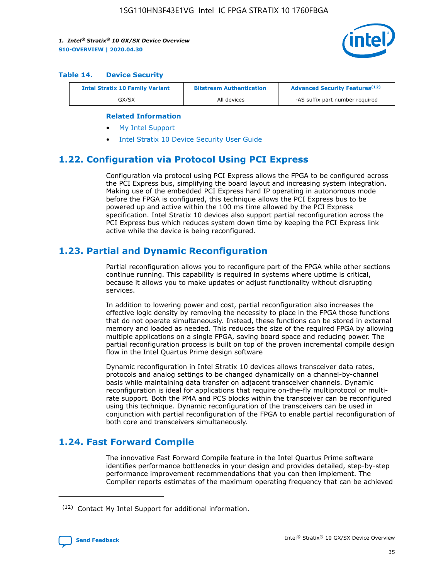

#### **Table 14. Device Security**

| <b>Intel Stratix 10 Family Variant</b> | <b>Bitstream Authentication</b> | <b>Advanced Security Features</b> <sup>(12)</sup> |
|----------------------------------------|---------------------------------|---------------------------------------------------|
| GX/SX                                  | All devices                     | -AS suffix part number required                   |

#### **Related Information**

- [My Intel Support](https://www.intel.com/content/www/us/en/programmable/my-intel/mal-home.html)
- [Intel Stratix 10 Device Security User Guide](https://www.intel.com/content/www/us/en/programmable/documentation/ndq1483601370898.html#wcd1483611014402)

## **1.22. Configuration via Protocol Using PCI Express**

Configuration via protocol using PCI Express allows the FPGA to be configured across the PCI Express bus, simplifying the board layout and increasing system integration. Making use of the embedded PCI Express hard IP operating in autonomous mode before the FPGA is configured, this technique allows the PCI Express bus to be powered up and active within the 100 ms time allowed by the PCI Express specification. Intel Stratix 10 devices also support partial reconfiguration across the PCI Express bus which reduces system down time by keeping the PCI Express link active while the device is being reconfigured.

## **1.23. Partial and Dynamic Reconfiguration**

Partial reconfiguration allows you to reconfigure part of the FPGA while other sections continue running. This capability is required in systems where uptime is critical, because it allows you to make updates or adjust functionality without disrupting services.

In addition to lowering power and cost, partial reconfiguration also increases the effective logic density by removing the necessity to place in the FPGA those functions that do not operate simultaneously. Instead, these functions can be stored in external memory and loaded as needed. This reduces the size of the required FPGA by allowing multiple applications on a single FPGA, saving board space and reducing power. The partial reconfiguration process is built on top of the proven incremental compile design flow in the Intel Quartus Prime design software

Dynamic reconfiguration in Intel Stratix 10 devices allows transceiver data rates, protocols and analog settings to be changed dynamically on a channel-by-channel basis while maintaining data transfer on adjacent transceiver channels. Dynamic reconfiguration is ideal for applications that require on-the-fly multiprotocol or multirate support. Both the PMA and PCS blocks within the transceiver can be reconfigured using this technique. Dynamic reconfiguration of the transceivers can be used in conjunction with partial reconfiguration of the FPGA to enable partial reconfiguration of both core and transceivers simultaneously.

## **1.24. Fast Forward Compile**

The innovative Fast Forward Compile feature in the Intel Quartus Prime software identifies performance bottlenecks in your design and provides detailed, step-by-step performance improvement recommendations that you can then implement. The Compiler reports estimates of the maximum operating frequency that can be achieved

<sup>(12)</sup> Contact My Intel Support for additional information.

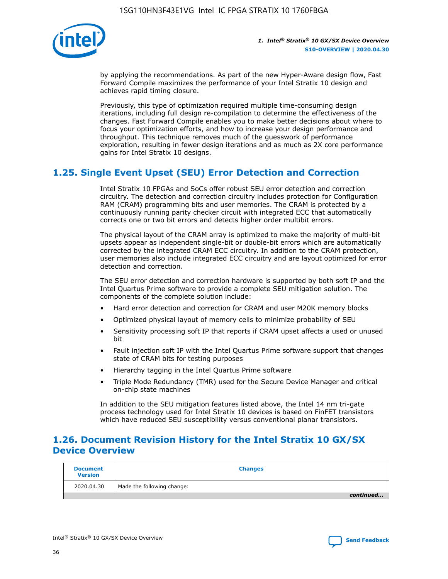

by applying the recommendations. As part of the new Hyper-Aware design flow, Fast Forward Compile maximizes the performance of your Intel Stratix 10 design and achieves rapid timing closure.

Previously, this type of optimization required multiple time-consuming design iterations, including full design re-compilation to determine the effectiveness of the changes. Fast Forward Compile enables you to make better decisions about where to focus your optimization efforts, and how to increase your design performance and throughput. This technique removes much of the guesswork of performance exploration, resulting in fewer design iterations and as much as 2X core performance gains for Intel Stratix 10 designs.

## **1.25. Single Event Upset (SEU) Error Detection and Correction**

Intel Stratix 10 FPGAs and SoCs offer robust SEU error detection and correction circuitry. The detection and correction circuitry includes protection for Configuration RAM (CRAM) programming bits and user memories. The CRAM is protected by a continuously running parity checker circuit with integrated ECC that automatically corrects one or two bit errors and detects higher order multibit errors.

The physical layout of the CRAM array is optimized to make the majority of multi-bit upsets appear as independent single-bit or double-bit errors which are automatically corrected by the integrated CRAM ECC circuitry. In addition to the CRAM protection, user memories also include integrated ECC circuitry and are layout optimized for error detection and correction.

The SEU error detection and correction hardware is supported by both soft IP and the Intel Quartus Prime software to provide a complete SEU mitigation solution. The components of the complete solution include:

- Hard error detection and correction for CRAM and user M20K memory blocks
- Optimized physical layout of memory cells to minimize probability of SEU
- Sensitivity processing soft IP that reports if CRAM upset affects a used or unused bit
- Fault injection soft IP with the Intel Quartus Prime software support that changes state of CRAM bits for testing purposes
- Hierarchy tagging in the Intel Quartus Prime software
- Triple Mode Redundancy (TMR) used for the Secure Device Manager and critical on-chip state machines

In addition to the SEU mitigation features listed above, the Intel 14 nm tri-gate process technology used for Intel Stratix 10 devices is based on FinFET transistors which have reduced SEU susceptibility versus conventional planar transistors.

## **1.26. Document Revision History for the Intel Stratix 10 GX/SX Device Overview**

| <b>Document</b><br><b>Version</b> | <b>Changes</b>             |
|-----------------------------------|----------------------------|
| 2020.04.30                        | Made the following change: |
|                                   | continued                  |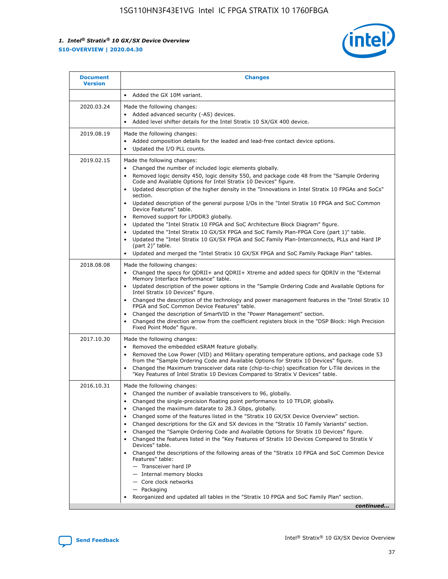

| • Added the GX 10M variant.<br>Made the following changes:<br>Added advanced security (-AS) devices.<br>$\bullet$<br>Added level shifter details for the Intel Stratix 10 SX/GX 400 device.<br>$\bullet$<br>Made the following changes:<br>Added composition details for the leaded and lead-free contact device options.                                                                                                                                                                                                                                                                                                                                                                                                                                                                                                                                                                                                                                                                                                     |
|-------------------------------------------------------------------------------------------------------------------------------------------------------------------------------------------------------------------------------------------------------------------------------------------------------------------------------------------------------------------------------------------------------------------------------------------------------------------------------------------------------------------------------------------------------------------------------------------------------------------------------------------------------------------------------------------------------------------------------------------------------------------------------------------------------------------------------------------------------------------------------------------------------------------------------------------------------------------------------------------------------------------------------|
|                                                                                                                                                                                                                                                                                                                                                                                                                                                                                                                                                                                                                                                                                                                                                                                                                                                                                                                                                                                                                               |
|                                                                                                                                                                                                                                                                                                                                                                                                                                                                                                                                                                                                                                                                                                                                                                                                                                                                                                                                                                                                                               |
| Updated the I/O PLL counts.<br>$\bullet$                                                                                                                                                                                                                                                                                                                                                                                                                                                                                                                                                                                                                                                                                                                                                                                                                                                                                                                                                                                      |
| Made the following changes:<br>Changed the number of included logic elements globally.<br>$\bullet$<br>Removed logic density 450, logic density 550, and package code 48 from the "Sample Ordering<br>$\bullet$<br>Code and Available Options for Intel Stratix 10 Devices" figure.<br>Updated description of the higher density in the "Innovations in Intel Stratix 10 FPGAs and SoCs"<br>section.<br>Updated description of the general purpose I/Os in the "Intel Stratix 10 FPGA and SoC Common<br>$\bullet$<br>Device Features" table.<br>Removed support for LPDDR3 globally.<br>٠<br>Updated the "Intel Stratix 10 FPGA and SoC Architecture Block Diagram" figure.<br>Updated the "Intel Stratix 10 GX/SX FPGA and SoC Family Plan-FPGA Core (part 1)" table.<br>$\bullet$<br>Updated the "Intel Stratix 10 GX/SX FPGA and SoC Family Plan-Interconnects, PLLs and Hard IP<br>$\bullet$<br>(part 2)" table.<br>Updated and merged the "Intel Stratix 10 GX/SX FPGA and SoC Family Package Plan" tables.<br>$\bullet$ |
| Made the following changes:<br>Changed the specs for ODRII+ and ODRII+ Xtreme and added specs for ODRIV in the "External<br>$\bullet$<br>Memory Interface Performance" table.<br>Updated description of the power options in the "Sample Ordering Code and Available Options for<br>Intel Stratix 10 Devices" figure.<br>Changed the description of the technology and power management features in the "Intel Stratix 10<br>FPGA and SoC Common Device Features" table.<br>Changed the description of SmartVID in the "Power Management" section.<br>Changed the direction arrow from the coefficient registers block in the "DSP Block: High Precision<br>Fixed Point Mode" figure.                                                                                                                                                                                                                                                                                                                                         |
| Made the following changes:<br>Removed the embedded eSRAM feature globally.<br>$\bullet$<br>Removed the Low Power (VID) and Military operating temperature options, and package code 53<br>$\bullet$<br>from the "Sample Ordering Code and Available Options for Stratix 10 Devices" figure.<br>Changed the Maximum transceiver data rate (chip-to-chip) specification for L-Tile devices in the<br>٠<br>"Key Features of Intel Stratix 10 Devices Compared to Stratix V Devices" table.                                                                                                                                                                                                                                                                                                                                                                                                                                                                                                                                      |
| Made the following changes:<br>• Changed the number of available transceivers to 96, globally.<br>Changed the single-precision floating point performance to 10 TFLOP, globally.<br>Changed the maximum datarate to 28.3 Gbps, globally.<br>Changed some of the features listed in the "Stratix 10 GX/SX Device Overview" section.<br>٠<br>Changed descriptions for the GX and SX devices in the "Stratix 10 Family Variants" section.<br>٠<br>Changed the "Sample Ordering Code and Available Options for Stratix 10 Devices" figure.<br>٠<br>Changed the features listed in the "Key Features of Stratix 10 Devices Compared to Stratix V<br>٠<br>Devices" table.<br>Changed the descriptions of the following areas of the "Stratix 10 FPGA and SoC Common Device<br>Features" table:<br>- Transceiver hard IP<br>- Internal memory blocks<br>- Core clock networks<br>- Packaging<br>Reorganized and updated all tables in the "Stratix 10 FPGA and SoC Family Plan" section.<br>continued                                |
|                                                                                                                                                                                                                                                                                                                                                                                                                                                                                                                                                                                                                                                                                                                                                                                                                                                                                                                                                                                                                               |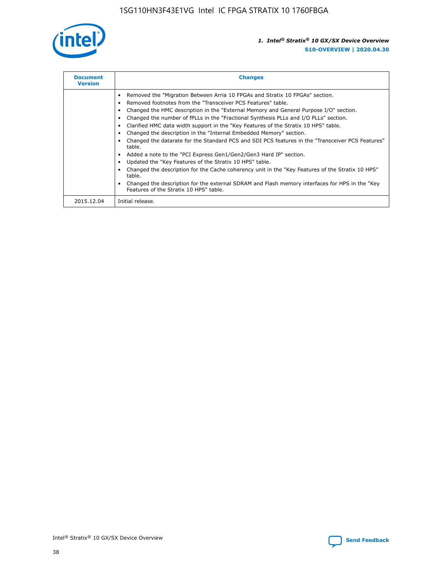

| <b>Document</b><br><b>Version</b> | <b>Changes</b>                                                                                                                                                                                                                                                                                                                                                                                                                                                                                                                                                                                                                                                                                                                                                                                                                                                                                                                                                                                     |
|-----------------------------------|----------------------------------------------------------------------------------------------------------------------------------------------------------------------------------------------------------------------------------------------------------------------------------------------------------------------------------------------------------------------------------------------------------------------------------------------------------------------------------------------------------------------------------------------------------------------------------------------------------------------------------------------------------------------------------------------------------------------------------------------------------------------------------------------------------------------------------------------------------------------------------------------------------------------------------------------------------------------------------------------------|
|                                   | Removed the "Migration Between Arria 10 FPGAs and Stratix 10 FPGAs" section.<br>Removed footnotes from the "Transceiver PCS Features" table.<br>Changed the HMC description in the "External Memory and General Purpose I/O" section.<br>Changed the number of fPLLs in the "Fractional Synthesis PLLs and I/O PLLs" section.<br>Clarified HMC data width support in the "Key Features of the Stratix 10 HPS" table.<br>Changed the description in the "Internal Embedded Memory" section.<br>Changed the datarate for the Standard PCS and SDI PCS features in the "Transceiver PCS Features"<br>table.<br>Added a note to the "PCI Express Gen1/Gen2/Gen3 Hard IP" section.<br>Updated the "Key Features of the Stratix 10 HPS" table.<br>Changed the description for the Cache coherency unit in the "Key Features of the Stratix 10 HPS"<br>table.<br>Changed the description for the external SDRAM and Flash memory interfaces for HPS in the "Key<br>Features of the Stratix 10 HPS" table. |
| 2015.12.04                        | Initial release.                                                                                                                                                                                                                                                                                                                                                                                                                                                                                                                                                                                                                                                                                                                                                                                                                                                                                                                                                                                   |